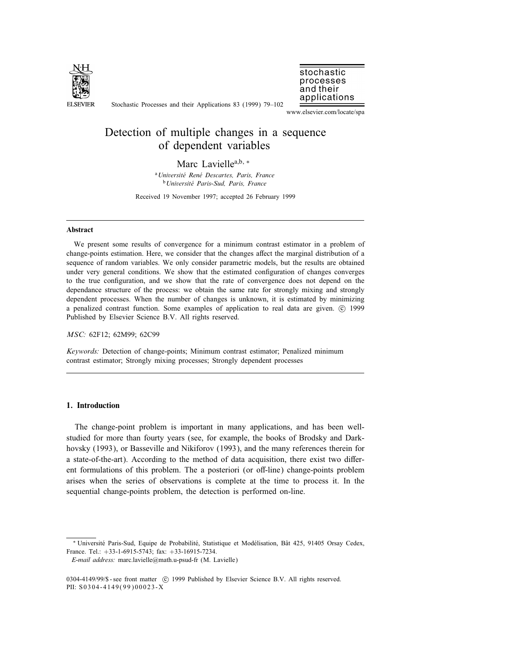

Stochastic Processes and their Applications 83 (1999) 79–102

applications www.elsevier.com/locate/spa

stochastic processes and their

# Detection of multiple changes in a sequence of dependent variables

## Marc Lavielle<sup>a,b, ∗</sup>

<sup>a</sup> Université René Descartes, Paris, France <sup>b</sup> Université Paris-Sud, Paris, France

Received 19 November 1997; accepted 26 February 1999

#### Abstract

We present some results of convergence for a minimum contrast estimator in a problem of change-points estimation. Here, we consider that the changes affect the marginal distribution of a sequence of random variables. We only consider parametric models, but the results are obtained under very general conditions. We show that the estimated conguration of changes converges to the true configuration, and we show that the rate of convergence does not depend on the dependance structure of the process: we obtain the same rate for strongly mixing and strongly dependent processes. When the number of changes is unknown, it is estimated by minimizing a penalized contrast function. Some examples of application to real data are given.  $\odot$  1999 Published by Elsevier Science B.V. All rights reserved.

MSC: 62F12; 62M99; 62C99

Keywords: Detection of change-points; Minimum contrast estimator; Penalized minimum contrast estimator; Strongly mixing processes; Strongly dependent processes

## 1. Introduction

The change-point problem is important in many applications, and has been wellstudied for more than fourty years (see, for example, the books of Brodsky and Darkhovsky (1993), or Basseville and Nikiforov (1993), and the many references therein for a state-of-the-art). According to the method of data acquisition, there exist two different formulations of this problem. The a posteriori (or off-line) change-points problem arises when the series of observations is complete at the time to process it. In the sequential change-points problem, the detection is performed on-line.

E-mail address: marc.lavielle@math.u-psud-fr (M. Lavielle)

<sup>∗</sup> Universite Paris-Sud, Equipe de Probabilite, Statistique et Modelisation, Bˆat 425, 91405 Orsay Cedex, France. Tel.: +33-1-6915-5743; fax: +33-16915-7234.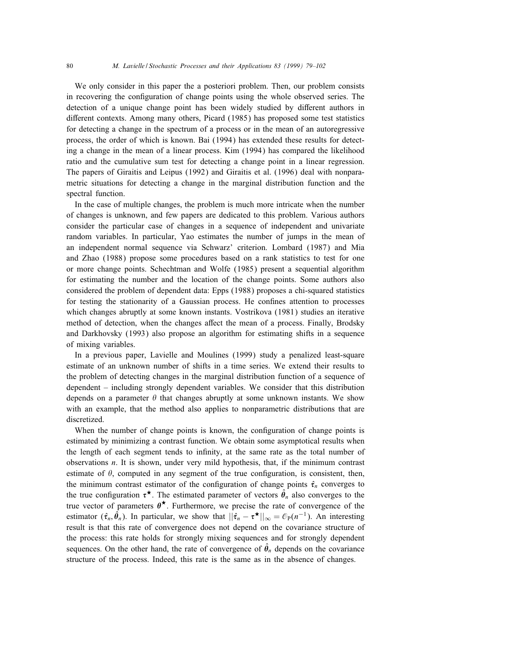We only consider in this paper the a posteriori problem. Then, our problem consists in recovering the configuration of change points using the whole observed series. The detection of a unique change point has been widely studied by different authors in different contexts. Among many others, Picard (1985) has proposed some test statistics for detecting a change in the spectrum of a process or in the mean of an autoregressive process, the order of which is known. Bai (1994) has extended these results for detecting a change in the mean of a linear process. Kim (1994) has compared the likelihood ratio and the cumulative sum test for detecting a change point in a linear regression. The papers of Giraitis and Leipus (1992) and Giraitis et al. (1996) deal with nonparametric situations for detecting a change in the marginal distribution function and the spectral function.

In the case of multiple changes, the problem is much more intricate when the number of changes is unknown, and few papers are dedicated to this problem. Various authors consider the particular case of changes in a sequence of independent and univariate random variables. In particular, Yao estimates the number of jumps in the mean of an independent normal sequence via Schwarz' criterion. Lombard (1987) and Mia and Zhao (1988) propose some procedures based on a rank statistics to test for one or more change points. Schechtman and Wolfe (1985) present a sequential algorithm for estimating the number and the location of the change points. Some authors also considered the problem of dependent data: Epps (1988) proposes a chi-squared statistics for testing the stationarity of a Gaussian process. He confines attention to processes which changes abruptly at some known instants. Vostrikova (1981) studies an iterative method of detection, when the changes affect the mean of a process. Finally, Brodsky and Darkhovsky (1993) also propose an algorithm for estimating shifts in a sequence of mixing variables.

In a previous paper, Lavielle and Moulines (1999) study a penalized least-square estimate of an unknown number of shifts in a time series. We extend their results to the problem of detecting changes in the marginal distribution function of a sequence of dependent – including strongly dependent variables. We consider that this distribution depends on a parameter  $\theta$  that changes abruptly at some unknown instants. We show with an example, that the method also applies to nonparametric distributions that are discretized.

When the number of change points is known, the configuration of change points is estimated by minimizing a contrast function. We obtain some asymptotical results when the length of each segment tends to infinity, at the same rate as the total number of observations n. It is shown, under very mild hypothesis, that, if the minimum contrast estimate of  $\theta$ , computed in any segment of the true configuration, is consistent, then, the minimum contrast estimator of the configuration of change points  $\hat{\tau}_n$  converges to the true configuration  $\tau^{\star}$ . The estimated parameter of vectors  $\hat{\theta}_n$  also converges to the true vector of parameters  $\theta^*$ . Furthermore, we precise the rate of convergence of the estimator  $(\hat{\tau}_n, \hat{\theta}_n)$ . In particular, we show that  $||\hat{\tau}_n - \tau^{\star}||_{\infty} = \mathcal{O}_P(n^{-1})$ . An interesting result is that this rate of convergence does not depend on the covariance structure of the process: this rate holds for strongly mixing sequences and for strongly dependent sequences. On the other hand, the rate of convergence of  $\hat{\theta}_n$  depends on the covariance structure of the process. Indeed, this rate is the same as in the absence of changes.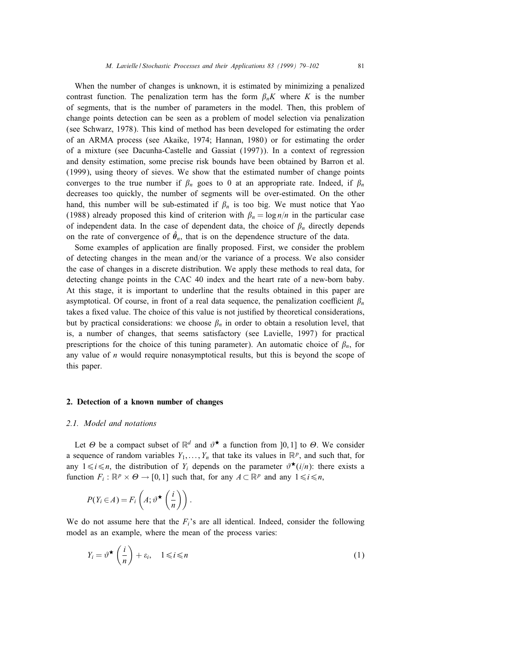When the number of changes is unknown, it is estimated by minimizing a penalized contrast function. The penalization term has the form  $\beta_n K$  where K is the number of segments, that is the number of parameters in the model. Then, this problem of change points detection can be seen as a problem of model selection via penalization (see Schwarz, 1978). This kind of method has been developed for estimating the order of an ARMA process (see Akaike, 1974; Hannan, 1980) or for estimating the order of a mixture (see Dacunha-Castelle and Gassiat (1997)). In a context of regression and density estimation, some precise risk bounds have been obtained by Barron et al. (1999), using theory of sieves. We show that the estimated number of change points converges to the true number if  $\beta_n$  goes to 0 at an appropriate rate. Indeed, if  $\beta_n$ decreases too quickly, the number of segments will be over-estimated. On the other hand, this number will be sub-estimated if  $\beta_n$  is too big. We must notice that Yao (1988) already proposed this kind of criterion with  $\beta_n = \log n/n$  in the particular case of independent data. In the case of dependent data, the choice of  $\beta_n$  directly depends on the rate of convergence of  $\hat{\theta}_n$ , that is on the dependence structure of the data.

Some examples of application are finally proposed. First, we consider the problem of detecting changes in the mean and/or the variance of a process. We also consider the case of changes in a discrete distribution. We apply these methods to real data, for detecting change points in the CAC 40 index and the heart rate of a new-born baby. At this stage, it is important to underline that the results obtained in this paper are asymptotical. Of course, in front of a real data sequence, the penalization coefficient  $\beta_n$ takes a fixed value. The choice of this value is not justified by theoretical considerations, but by practical considerations: we choose  $\beta_n$  in order to obtain a resolution level, that is, a number of changes, that seems satisfactory (see Lavielle, 1997) for practical prescriptions for the choice of this tuning parameter). An automatic choice of  $\beta_n$ , for any value of  $n$  would require nonasymptotical results, but this is beyond the scope of this paper.

#### 2. Detection of a known number of changes

## 2.1. Model and notations

Let  $\Theta$  be a compact subset of  $\mathbb{R}^d$  and  $\vartheta^{\star}$  a function from [0, 1] to  $\Theta$ . We consider a sequence of random variables  $Y_1, \ldots, Y_n$  that take its values in  $\mathbb{R}^p$ , and such that, for any  $1 \le i \le n$ , the distribution of Y<sub>i</sub> depends on the parameter  $\vartheta^{\star}(i/n)$ : there exists a function  $F_i : \mathbb{R}^p \times \Theta \to [0,1]$  such that, for any  $A \subset \mathbb{R}^p$  and any  $1 \leq i \leq n$ ,

$$
P(Y_i \in A) = F_i\left(A; \vartheta^{\star}\left(\frac{i}{n}\right)\right).
$$

We do not assume here that the  $F_i$ 's are all identical. Indeed, consider the following model as an example, where the mean of the process varies:

$$
Y_i = \vartheta^{\star} \left( \frac{i}{n} \right) + \varepsilon_i, \quad 1 \leq i \leq n
$$
 (1)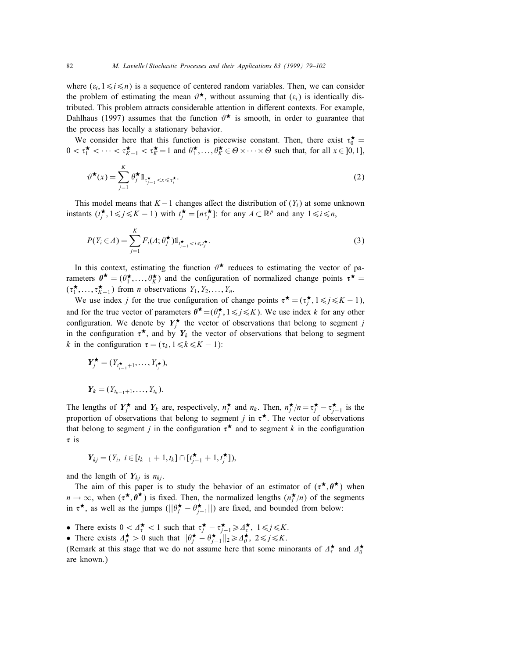where  $(\varepsilon_i, 1 \le i \le n)$  is a sequence of centered random variables. Then, we can consider the problem of estimating the mean  $\vartheta^*$ , without assuming that  $(\varepsilon_i)$  is identically distributed. This problem attracts considerable attention in different contexts. For example, Dahlhaus (1997) assumes that the function  $\vartheta^*$  is smooth, in order to guarantee that the process has locally a stationary behavior.

We consider here that this function is piecewise constant. Then, there exist  $\tau_0^{\star} =$  $0 < \tau_1^{\star} < \cdots < \tau_{K-1}^{\star} < \tau_K^{\star} = 1$  and  $\theta_1^{\star}, \ldots, \theta_K^{\star} \in \Theta \times \cdots \times \Theta$  such that, for all  $x \in ]0,1]$ ,

$$
\vartheta^{\star}(x) = \sum_{j=1}^{K} \theta_j^{\star} \mathbb{1}_{\tau_{j-1}^{\star} < x \leq \tau_j^{\star}}.
$$
\n<sup>(2)</sup>

This model means that  $K - 1$  changes affect the distribution of  $(Y_i)$  at some unknown instants  $(t_j^{\star}, 1 \leq j \leq K - 1)$  with  $t_j^{\star} = [n\tau_j^{\star}]$ : for any  $A \subset \mathbb{R}^p$  and any  $1 \leq i \leq n$ ,

$$
P(Y_i \in A) = \sum_{j=1}^K F_i(A; \theta_j^{\star}) 1\!\!1_{t_{j-1}^{\star} < i \leq t_j^{\star}}.
$$
\n
$$
(3)
$$

In this context, estimating the function  $\vartheta^*$  reduces to estimating the vector of parameters  $\theta^{\star} = (\theta_1^{\star}, \dots, \theta_K^{\star})$  and the configuration of normalized change points  $\tau^{\star} =$  $(\tau_1^{\star}, \ldots, \tau_{K-1}^{\star})$  from *n* observations  $Y_1, Y_2, \ldots, Y_n$ .

We use index j for the true configuration of change points  $\tau^* = (\tau_j^*, 1 \le j \le K - 1)$ , and for the true vector of parameters  $\theta^{\star} = (\theta_j^{\star}, 1 \leq j \leq K)$ . We use index k for any other configuration. We denote by  $Y_j^{\star}$  the vector of observations that belong to segment j in the configuration  $\tau^*$ , and by  $Y_k$  the vector of observations that belong to segment k in the configuration  $\tau = (\tau_k, 1 \le k \le K - 1)$ :

$$
Y_j^{\star} = (Y_{t_{j-1}+1}, \dots, Y_{t_j^{\star}}),
$$
  

$$
Y_k = (Y_{t_{k-1}+1}, \dots, Y_{t_k}).
$$

The lengths of  $Y_j^{\star}$  and  $Y_k$  are, respectively,  $n_j^{\star}$  and  $n_k$ . Then,  $n_j^{\star}/n = \tau_j^{\star} - \tau_{j-1}^{\star}$  is the proportion of observations that belong to segment *j* in  $\tau^*$ . The vector of observations that belong to segment *j* in the configuration  $\tau^*$  and to segment *k* in the configuration  $\tau$  is

$$
Y_{kj} = (Y_i, i \in [t_{k-1}+1, t_k] \cap [t_{j-1}^{\star}+1, t_j^{\star}]),
$$

and the length of  $Y_{ki}$  is  $n_{ki}$ .

The aim of this paper is to study the behavior of an estimator of  $(\tau^*, \theta^*)$  when  $n \to \infty$ , when  $(\tau^*, \theta^*)$  is fixed. Then, the normalized lengths  $(n_j^*/n)$  of the segments in  $\tau^*$ , as well as the jumps  $(||\theta_j^* - \theta_{j-1}^*||)$  are fixed, and bounded from below:

- There exists  $0 < \Delta_{\tau}^{\star} < 1$  such that  $\tau_j^{\star} \tau_{j-1}^{\star} \ge \Delta_{\tau}^{\star}$ ,  $1 \le j \le K$ .
- There exists  $\Delta_{\theta}^{\star} > 0$  such that  $||\theta_{j}^{\star} \theta_{j-1}^{\star}||_2 \ge \Delta_{\theta}^{\star}$ ,  $2 \le j \le K$ .

(Remark at this stage that we do not assume here that some minorants of  $\Delta_{\tau}^{\star}$  and  $\Delta_{\theta}^{\star}$ are known.)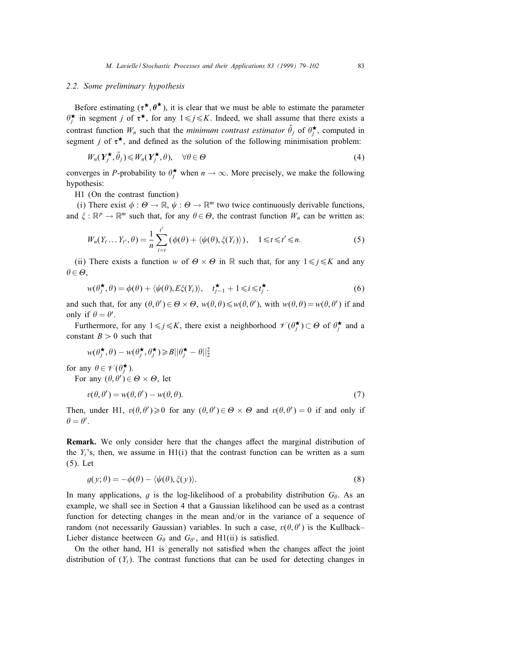#### 2.2. Some preliminary hypothesis

Before estimating  $(\tau^*, \theta^*)$ , it is clear that we must be able to estimate the parameter  $\theta_j^{\star}$  in segment j of  $\tau^{\star}$ , for any  $1 \leq j \leq K$ . Indeed, we shall assume that there exists a contrast function  $W_n$  such that the *minimum contrast estimator*  $\hat{\theta}_j$  of  $\theta_j^*$ , computed in segment *j* of  $\tau^*$ , and defined as the solution of the following minimisation problem:

$$
W_n(\boldsymbol{Y}_j^{\star}, \hat{\theta}_j) \leq W_n(\boldsymbol{Y}_j^{\star}, \theta), \quad \forall \theta \in \Theta
$$
\n<sup>(4)</sup>

converges in P-probability to  $\theta_j^*$  when  $n \to \infty$ . More precisely, we make the following hypothesis:

H1 (On the contrast function)

(i) There exist  $\phi : \Theta \to \mathbb{R}, \psi : \Theta \to \mathbb{R}^m$  two twice continuously derivable functions, and  $\xi : \mathbb{R}^p \to \mathbb{R}^m$  such that, for any  $\theta \in \Theta$ , the contrast function  $W_n$  can be written as:

$$
W_n(Y_t \dots Y_{t'}, \theta) = \frac{1}{n} \sum_{i=t}^{t'} (\phi(\theta) + \langle \psi(\theta), \xi(Y_i) \rangle), \quad 1 \le t \le t' \le n. \tag{5}
$$

(ii) There exists a function w of  $\Theta \times \Theta$  in R such that, for any  $1 \leq j \leq K$  and any  $\theta \in \mathcal{O},$ 

$$
w(\theta_j^{\star}, \theta) = \phi(\theta) + \langle \psi(\theta), E\xi(Y_i) \rangle, \quad t_{j-1}^{\star} + 1 \leq i \leq t_j^{\star}.
$$
 (6)

and such that, for any  $(\theta, \theta') \in \Theta \times \Theta$ ,  $w(\theta, \theta) \leq w(\theta, \theta')$ , with  $w(\theta, \theta) = w(\theta, \theta')$  if and only if  $\theta = \theta'$ .

Furthermore, for any  $1 \le j \le K$ , there exist a neighborhood  $\mathscr{V}(\theta_i^{\star}) \subset \Theta$  of  $\theta_i^{\star}$  and a constant  $B > 0$  such that

$$
w(\theta_j^{\star}, \theta) - w(\theta_j^{\star}, \theta_j^{\star}) \ge B || \theta_j^{\star} - \theta ||_2^2
$$

for any  $\theta \in \mathscr{V}(\theta_i^{\star})$ .

For any  $(\theta, \theta') \in \Theta \times \Theta$ , let

$$
v(\theta, \theta') = w(\theta, \theta') - w(\theta, \theta). \tag{7}
$$

Then, under H1,  $v(\theta, \theta') \ge 0$  for any  $(\theta, \theta') \in \Theta \times \Theta$  and  $v(\theta, \theta') = 0$  if and only if  $\theta = \theta'.$ 

**Remark.** We only consider here that the changes affect the marginal distribution of the  $Y_i$ 's, then, we assume in  $H1(i)$  that the contrast function can be written as a sum (5). Let

$$
g(y; \theta) = -\phi(\theta) - \langle \psi(\theta), \xi(y) \rangle.
$$
 (8)

In many applications, g is the log-likelihood of a probability distribution  $G_{\theta}$ . As an example, we shall see in Section 4 that a Gaussian likelihood can be used as a contrast function for detecting changes in the mean and/or in the variance of a sequence of random (not necessarily Gaussian) variables. In such a case,  $v(\theta, \theta')$  is the Kullback-Lieber distance beetween  $G_{\theta}$  and  $G_{\theta}$ , and H1(ii) is satisfied.

On the other hand, H1 is generally not satisfied when the changes affect the joint distribution of  $(Y_i)$ . The contrast functions that can be used for detecting changes in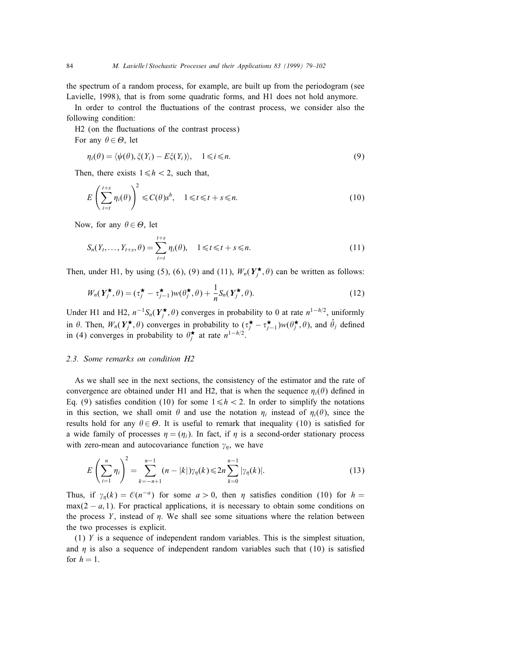the spectrum of a random process, for example, are built up from the periodogram (see Lavielle, 1998), that is from some quadratic forms, and H1 does not hold anymore.

In order to control the fluctuations of the contrast process, we consider also the following condition:

H<sub>2</sub> (on the fluctuations of the contrast process) For any  $\theta \in \Theta$ , let

$$
\eta_i(\theta) = \langle \psi(\theta), \xi(Y_i) - E\xi(Y_i) \rangle, \quad 1 \leq i \leq n. \tag{9}
$$

Then, there exists  $1 \leq h < 2$ , such that,

$$
E\left(\sum_{i=t}^{t+s} \eta_i(\theta)\right)^2 \leq C(\theta)s^h, \quad 1 \leq t \leq t+s \leq n. \tag{10}
$$

Now, for any  $\theta \in \Theta$ , let

$$
S_n(Y_t, ..., Y_{t+s}, \theta) = \sum_{i=t}^{t+s} \eta_i(\theta), \quad 1 \le t \le t+s \le n.
$$
 (11)

Then, under H1, by using (5), (6), (9) and (11),  $W_n(Y_j^{\star}, \theta)$  can be written as follows:

$$
W_n(\boldsymbol{Y}_j^{\star}, \theta) = (\tau_j^{\star} - \tau_{j-1}^{\star}) w(\theta_j^{\star}, \theta) + \frac{1}{n} S_n(\boldsymbol{Y}_j^{\star}, \theta). \tag{12}
$$

Under H1 and H2,  $n^{-1}S_n(Y_j^{\star}, \theta)$  converges in probability to 0 at rate  $n^{1-h/2}$ , uniformly in  $\theta$ . Then,  $W_n(Y_j^{\star}, \theta)$  converges in probability to  $(\tau_j^{\star} - \tau_{j-1}^{\star})w(\theta_j^{\star}, \theta)$ , and  $\hat{\theta}_j$  defined in (4) converges in probability to  $\theta_i^*$  at rate  $n^{1-h/2}$ .

## 2.3. Some remarks on condition H2

As we shall see in the next sections, the consistency of the estimator and the rate of convergence are obtained under H1 and H2, that is when the sequence  $\eta_i(\theta)$  defined in Eq. (9) satisfies condition (10) for some  $1 \le h < 2$ . In order to simplify the notations in this section, we shall omit  $\theta$  and use the notation  $\eta_i$  instead of  $\eta_i(\theta)$ , since the results hold for any  $\theta \in \Theta$ . It is useful to remark that inequality (10) is satisfied for a wide family of processes  $\eta = (\eta_i)$ . In fact, if  $\eta$  is a second-order stationary process with zero-mean and autocovariance function  $\gamma_n$ , we have

$$
E\left(\sum_{i=1}^{n}\eta_{i}\right)^{2}=\sum_{k=-n+1}^{n-1}(n-|k|)\gamma_{\eta}(k)\leq 2n\sum_{k=0}^{n-1}|\gamma_{\eta}(k)|.\tag{13}
$$

Thus, if  $\gamma_{\eta}(k) = \mathcal{O}(n^{-a})$  for some  $a > 0$ , then  $\eta$  satisfies condition (10) for  $h =$  $\max(2-a,1)$ . For practical applications, it is necessary to obtain some conditions on the process Y, instead of  $\eta$ . We shall see some situations where the relation between the two processes is explicit.

(1) Y is a sequence of independent random variables. This is the simplest situation, and  $\eta$  is also a sequence of independent random variables such that (10) is satisfied for  $h = 1$ .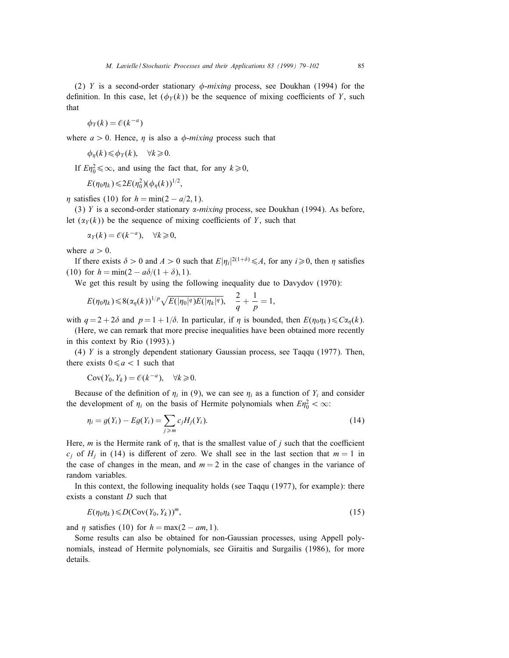(2) Y is a second-order stationary  $\phi$ -mixing process, see Doukhan (1994) for the definition. In this case, let  $(\phi_Y(k))$  be the sequence of mixing coefficients of Y, such that

$$
\phi_Y(k) = \mathcal{O}(k^{-a})
$$

where  $a > 0$ . Hence, *n* is also a  $\phi$ -mixing process such that

$$
\phi_{\eta}(k) \leq \phi_Y(k), \quad \forall k \geq 0.
$$

If  $E\eta_0^2 \leq \infty$ , and using the fact that, for any  $k \geq 0$ ,

$$
E(\eta_0 \eta_k) \leq 2E(\eta_0^2)(\phi_\eta(k))^{1/2}
$$
,

 $\eta$  satisfies (10) for  $h = \min(2 - a/2, 1)$ .

(3) Y is a second-order stationary  $\alpha$ -mixing process, see Doukhan (1994). As before, let  $(\alpha_Y(k))$  be the sequence of mixing coefficients of Y, such that

$$
\alpha_Y(k) = \mathcal{O}(k^{-a}), \quad \forall k \geq 0,
$$

where  $a > 0$ .

If there exists  $\delta > 0$  and  $A > 0$  such that  $E|\eta_i|^{2(1+\delta)} \leq A$ , for any  $i \geq 0$ , then  $\eta$  satisfies (10) for  $h = \min(2 - a\delta/(1 + \delta), 1)$ .

We get this result by using the following inequality due to Davydov (1970):

$$
E(\eta_0 \eta_k) \leq 8(\alpha_{\eta}(k))^{1/p} \sqrt{E(|\eta_0|^q)E(|\eta_k|^q)}, \quad \frac{2}{q} + \frac{1}{p} = 1,
$$

with  $q = 2 + 2\delta$  and  $p = 1 + 1/\delta$ . In particular, if  $\eta$  is bounded, then  $E(\eta_0 \eta_k) \leq C\alpha_n(k)$ .

(Here, we can remark that more precise inequalities have been obtained more recently in this context by Rio (1993).)

(4) Y is a strongly dependent stationary Gaussian process, see Taqqu (1977). Then, there exists  $0 \le a < 1$  such that

$$
Cov(Y_0, Y_k) = \mathcal{O}(k^{-a}), \quad \forall k \ge 0.
$$

Because of the definition of  $\eta_i$  in (9), we can see  $\eta_i$  as a function of  $Y_i$  and consider the development of  $\eta_i$  on the basis of Hermite polynomials when  $E\eta_0^2 < \infty$ :

$$
\eta_i = g(Y_i) - Eg(Y_i) = \sum_{j \ge m} c_j H_j(Y_i).
$$
\n(14)

Here,  $m$  is the Hermite rank of  $\eta$ , that is the smallest value of  $j$  such that the coefficient  $c_i$  of  $H_i$  in (14) is different of zero. We shall see in the last section that  $m = 1$  in the case of changes in the mean, and  $m = 2$  in the case of changes in the variance of random variables.

In this context, the following inequality holds (see Taqqu (1977), for example): there exists a constant  $D$  such that

$$
E(\eta_0 \eta_k) \leqslant D(\text{Cov}(Y_0, Y_k))^m, \tag{15}
$$

and  $\eta$  satisfies (10) for  $h = \max(2 - am, 1)$ .

Some results can also be obtained for non-Gaussian processes, using Appell polynomials, instead of Hermite polynomials, see Giraitis and Surgailis (1986), for more details.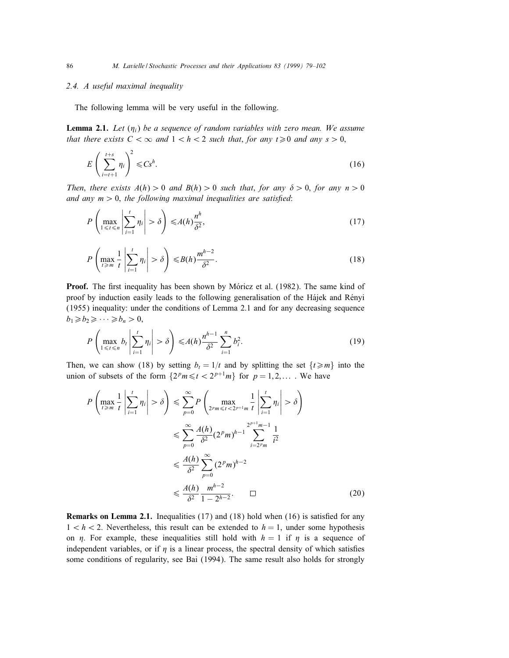#### 2.4. A useful maximal inequality

The following lemma will be very useful in the following.

**Lemma 2.1.** Let  $(\eta_i)$  be a sequence of random variables with zero mean. We assume that there exists  $C < \infty$  and  $1 < h < 2$  such that, for any  $t \ge 0$  and any  $s > 0$ ,

$$
E\left(\sum_{i=t+1}^{t+s} \eta_i\right)^2 \leq C s^h. \tag{16}
$$

Then, there exists  $A(h) > 0$  and  $B(h) > 0$  such that, for any  $\delta > 0$ , for any  $n > 0$ and any  $m > 0$ , the following maximal inequalities are satisfied:

$$
P\left(\max_{1\leq t\leq n}\left|\sum_{i=1}^t\eta_i\right|>\delta\right)\leqslant A(h)\frac{n^h}{\delta^2},\tag{17}
$$

$$
P\left(\max_{t\geq m} \frac{1}{t} \left|\sum_{i=1}^t \eta_i\right| > \delta\right) \leq B(h) \frac{m^{h-2}}{\delta^2}.\tag{18}
$$

Proof. The first inequality has been shown by Móricz et al. (1982). The same kind of proof by induction easily leads to the following generalisation of the Hajek and Renyi (1955) inequality: under the conditions of Lemma 2.1 and for any decreasing sequence  $b_1 \geq b_2 \geq \cdots \geq b_n > 0$ ,

$$
P\left(\max_{1\leq t\leq n}b_t\left|\sum_{i=1}^t\eta_i\right|>\delta\right)\leqslant A(h)\frac{n^{h-1}}{\delta^2}\sum_{i=1}^n b_i^2.
$$
\n(19)

Then, we can show (18) by setting  $b_t = 1/t$  and by splitting the set  $\{t \ge m\}$  into the union of subsets of the form  $\{2^p m \le t < 2^{p+1} m\}$  for  $p = 1, 2, \ldots$ . We have

$$
P\left(\max_{t \ge m} \frac{1}{t} \left| \sum_{i=1}^{t} \eta_i \right| > \delta\right) \le \sum_{p=0}^{\infty} P\left(\max_{2^p m \le t < 2^{p+1}m} \frac{1}{t} \left| \sum_{i=1}^{t} \eta_i \right| > \delta\right)
$$
  

$$
\le \sum_{p=0}^{\infty} \frac{A(h)}{\delta^2} (2^p m)^{h-1} \sum_{i=2^p m}^{2^{p+1}m-1} \frac{1}{i^2}
$$
  

$$
\le \frac{A(h)}{\delta^2} \sum_{p=0}^{\infty} (2^p m)^{h-2}
$$
  

$$
\le \frac{A(h)}{\delta^2} \frac{m^{h-2}}{1 - 2^{h-2}}.\qquad \Box
$$
 (20)

**Remarks on Lemma 2.1.** Inequalities  $(17)$  and  $(18)$  hold when  $(16)$  is satisfied for any  $1 < h < 2$ . Nevertheless, this result can be extended to  $h = 1$ , under some hypothesis on  $\eta$ . For example, these inequalities still hold with  $h = 1$  if  $\eta$  is a sequence of independent variables, or if  $\eta$  is a linear process, the spectral density of which satisfies some conditions of regularity, see Bai (1994). The same result also holds for strongly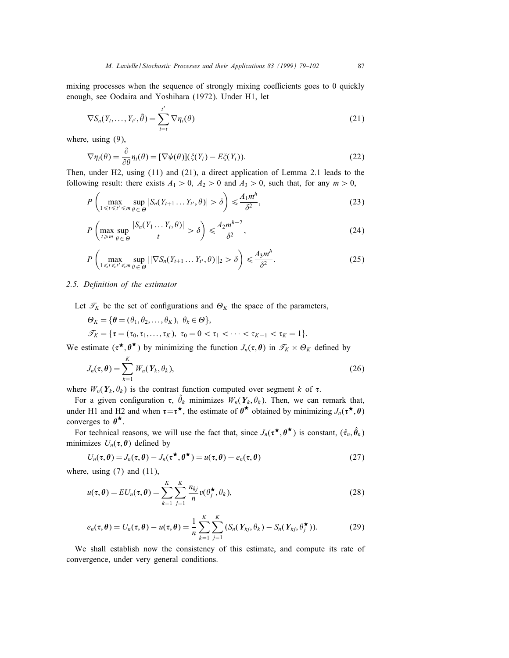mixing processes when the sequence of strongly mixing coefficients goes to 0 quickly enough, see Oodaira and Yoshihara (1972). Under H1, let

$$
\nabla S_n(Y_t, \dots, Y_{t'}, \tilde{\theta}) = \sum_{i=t}^{t'} \nabla \eta_i(\theta)
$$
\n(21)

where, using (9),

$$
\nabla \eta_i(\theta) = \frac{\partial}{\partial \theta} \eta_i(\theta) = [\nabla \psi(\theta)] (\xi(Y_i) - E\xi(Y_i)).
$$
\n(22)

Then, under H2, using (11) and (21), a direct application of Lemma 2.1 leads to the following result: there exists  $A_1 > 0$ ,  $A_2 > 0$  and  $A_3 > 0$ , such that, for any  $m > 0$ ,

$$
P\left(\max_{1\leq t\leq t'\leq m}\sup_{\theta\in\Theta}|S_n(Y_{t+1}\dots Y_{t'},\theta)|>\delta\right)\leq \frac{A_1m^h}{\delta^2},\tag{23}
$$

$$
P\left(\max_{t \ge m} \sup_{\theta \in \Theta} \frac{|S_n(Y_1 \dots Y_t, \theta)|}{t} > \delta\right) \le \frac{A_2 m^{h-2}}{\delta^2},\tag{24}
$$

$$
P\left(\max_{1\leq t\leq t'\leq m}\sup_{\theta\in\Theta}||\nabla S_n(Y_{t+1}\dots Y_{t'},\theta)||_2 > \delta\right) \leq \frac{A_3 m^h}{\delta^2}.\tag{25}
$$

#### 2.5. Definition of the estimator

Let  $\mathcal{T}_K$  be the set of configurations and  $\Theta_K$  the space of the parameters,

$$
\Theta_K = \{ \theta = (\theta_1, \theta_2, \dots, \theta_K), \ \theta_k \in \Theta \},
$$
  

$$
\mathcal{T}_K = \{ \tau = (\tau_0, \tau_1, \dots, \tau_K), \ \tau_0 = 0 < \tau_1 < \dots < \tau_{K-1} < \tau_K = 1 \}.
$$

We estimate  $(\tau^*, \theta^*)$  by minimizing the function  $J_n(\tau, \theta)$  in  $\mathcal{T}_K \times \Theta_K$  defined by

$$
J_n(\tau,\theta) = \sum_{k=1}^K W_n(Y_k,\theta_k),
$$
\n(26)

where  $W_n(Y_k, \theta_k)$  is the contrast function computed over segment k of  $\tau$ .

For a given configuration  $\tau$ ,  $\hat{\theta}_k$  minimizes  $W_n(Y_k, \theta_k)$ . Then, we can remark that, under H1 and H2 and when  $\tau = \tau^*$ , the estimate of  $\theta^*$  obtained by minimizing  $J_n(\tau^*, \theta)$ converges to  $\theta^{\star}$ .

For technical reasons, we will use the fact that, since  $J_n(\tau^*, \theta^*)$  is constant,  $(\hat{\tau}_n, \hat{\theta}_n)$ minimizes  $U_n(\tau, \theta)$  defined by

$$
U_n(\tau, \theta) = J_n(\tau, \theta) - J_n(\tau^{\star}, \theta^{\star}) = u(\tau, \theta) + e_n(\tau, \theta)
$$
\n<sup>(27)</sup>

where, using  $(7)$  and  $(11)$ ,

$$
u(\tau,\theta) = EU_n(\tau,\theta) = \sum_{k=1}^K \sum_{j=1}^K \frac{n_{kj}}{n} v(\theta_j^{\star}, \theta_k),
$$
\n(28)

$$
e_n(\tau,\theta)=U_n(\tau,\theta)-u(\tau,\theta)=\frac{1}{n}\sum_{k=1}^K\sum_{j=1}^K\left(S_n(Y_{kj},\theta_k)-S_n(Y_{kj},\theta_j^{\star})\right).
$$
 (29)

We shall establish now the consistency of this estimate, and compute its rate of convergence, under very general conditions.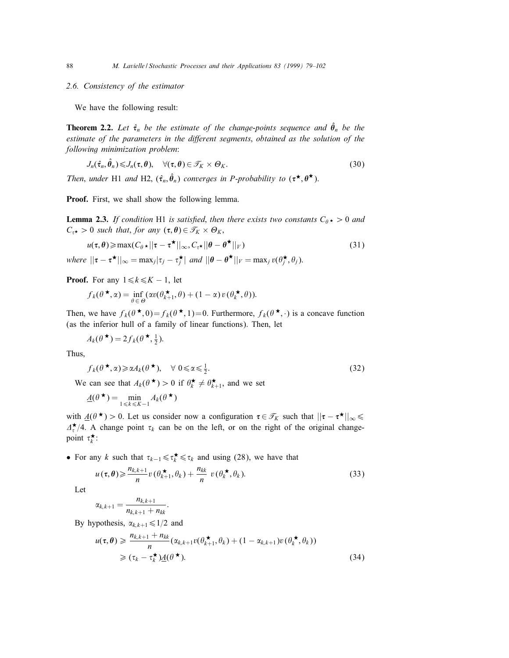#### 2.6. Consistency of the estimator

We have the following result:

**Theorem 2.2.** Let  $\hat{\tau}_n$  be the estimate of the change-points sequence and  $\hat{\theta}_n$  be the estimate of the parameters in the different segments, obtained as the solution of the following minimization problem:

$$
J_n(\hat{\tau}_n, \hat{\theta}_n) \leqslant J_n(\tau, \theta), \quad \forall (\tau, \theta) \in \mathcal{T}_K \times \Theta_K.
$$
\n
$$
(30)
$$

Then, under H1 and H2,  $(\hat{\tau}_n, \hat{\theta}_n)$  converges in P-probability to  $(\tau^{\star}, \theta^{\star})$ .

Proof. First, we shall show the following lemma.

**Lemma 2.3.** If condition H1 is satisfied, then there exists two constants  $C_{\theta} \star > 0$  and  $C_{\tau^{\star}} > 0$  such that, for any  $(\tau, \theta) \in \mathcal{T}_K \times \Theta_K$ ,

$$
u(\tau,\theta) \geq \max(C_{\theta} \star ||\tau - \tau^{\star}||_{\infty}, C_{\tau^{\star}} ||\theta - \theta^{\star}||_{V})
$$
\n(31)

where  $||\tau - \tau^{\star}||_{\infty} = \max_j |\tau_j - \tau_j^{\star}|$  and  $||\theta - \theta^{\star}||_V = \max_j v(\theta_j^{\star}, \theta_j)$ .

**Proof.** For any  $1 \le k \le K - 1$ , let

$$
f_k(\theta^{\star}, \alpha) = \inf_{\theta \in \Theta} (\alpha v(\theta_{k+1}^{\star}, \theta) + (1 - \alpha) v(\theta_k^{\star}, \theta)).
$$

Then, we have  $f_k(\theta^{\star},0) = f_k(\theta^{\star},1) = 0$ . Furthermore,  $f_k(\theta^{\star},\cdot)$  is a concave function (as the inferior hull of a family of linear functions). Then, let

$$
A_k(\theta^{\star}) = 2f_k(\theta^{\star}, \frac{1}{2}).
$$

Thus,

$$
f_k(\theta^{\star}, \alpha) \geq \alpha A_k(\theta^{\star}), \quad \forall \ 0 \leq \alpha \leq \frac{1}{2}.
$$

We can see that  $A_k(\theta^{\star}) > 0$  if  $\theta_k^{\star} \neq \theta_{k+1}^{\star}$ , and we set

$$
\underline{A}(\theta^{\star}) = \min_{1 \leq k \leq K-1} A_k(\theta^{\star})
$$

with  $\underline{A}(\theta^{\star}) > 0$ . Let us consider now a configuration  $\tau \in \mathcal{T}_K$  such that  $||\tau - \tau^{\star}||_{\infty} \leq$  $\Delta_{\tau}^{\star}/4$ . A change point  $\tau_k$  can be on the left, or on the right of the original changepoint  $\tau_k^{\star}$ :

• For any k such that  $\tau_{k-1} \leq \tau_k^* \leq \tau_k$  and using (28), we have that

$$
u(\tau,\theta) \geqslant \frac{n_{k,k+1}}{n}v(\theta_{k+1}^{\star},\theta_k) + \frac{n_{kk}}{n}v(\theta_k^{\star},\theta_k). \tag{33}
$$

Let

$$
\alpha_{k,k+1} = \frac{n_{k,k+1}}{n_{k,k+1} + n_{kk}}.
$$

By hypothesis,  $\alpha_{k,k+1} \leq 1/2$  and

$$
u(\tau,\theta) \geqslant \frac{n_{k,k+1} + n_{kk}}{n} (\alpha_{k,k+1}v(\theta_{k+1}^{\star},\theta_k) + (1 - \alpha_{k,k+1})v(\theta_k^{\star},\theta_k))
$$
  
\n
$$
\geqslant (\tau_k - \tau_k^{\star})\underline{A}(\theta^{\star}).
$$
\n(34)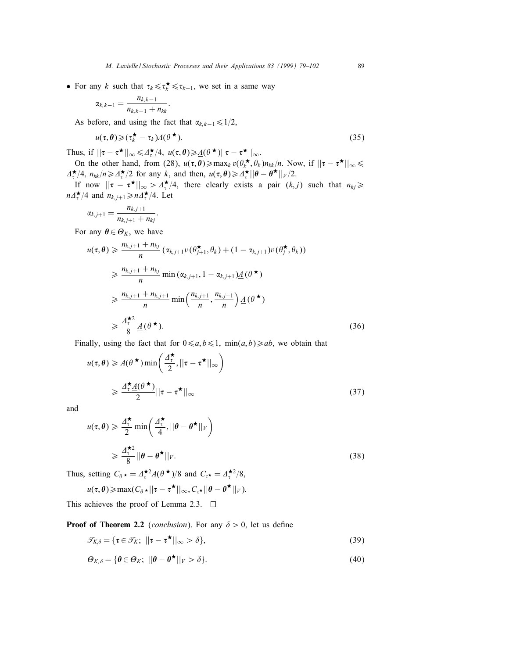• For any k such that  $\tau_k \leq \tau_k^{\star} \leq \tau_{k+1}$ , we set in a same way

$$
\alpha_{k,k-1}=\frac{n_{k,k-1}}{n_{k,k-1}+n_{kk}}.
$$

As before, and using the fact that  $\alpha_{k,k-1} \leq 1/2$ ,

$$
u(\tau,\theta) \geqslant (\tau_k^{\star} - \tau_k) \underline{A}(\theta^{\star}). \tag{35}
$$

Thus, if  $||\tau - \tau^{\star}||_{\infty} \le \Delta_{\tau}^{\star}/4$ ,  $u(\tau, \theta) \ge \underline{A}(\theta^{\star})||\tau - \tau^{\star}||_{\infty}$ .

On the other hand, from (28),  $u(\tau, \theta) \ge \max_k v(\theta_k^*, \theta_k) n_{kk}/n$ . Now, if  $||\tau - \tau^*||_{\infty} \le$  $\Delta_{\tau}^{\star}/4$ ,  $n_{kk}/n \ge \Delta_{\tau}^{\star}/2$  for any k, and then,  $u(\tau,\theta) \ge \Delta_{\tau}^{\star} ||\theta - \theta^{\star}||_V/2$ .

If now  $||\tau - \tau^{\star}||_{\infty} > \Delta_{\tau}^{\star}/4$ , there clearly exists a pair  $(k, j)$  such that  $n_{kj} \geq$  $n\Delta_{\tau}^{\star}/4$  and  $n_{k,j+1} \geq n\Delta_{\tau}^{\star}/4$ . Let

$$
\alpha_{k,j+1} = \frac{n_{k,j+1}}{n_{k,j+1} + n_{kj}}.
$$

For any  $\theta \in \Theta_K$ , we have

$$
u(\tau, \theta) \geq \frac{n_{k,j+1} + n_{kj}}{n} \left( \alpha_{k,j+1} v(\theta_{j+1}^{\star}, \theta_k) + (1 - \alpha_{k,j+1}) v(\theta_j^{\star}, \theta_k) \right)
$$
  
\n
$$
\geq \frac{n_{k,j+1} + n_{kj}}{n} \min \left( \alpha_{k,j+1}, 1 - \alpha_{k,j+1} \right) \underline{A}(\theta^{\star})
$$
  
\n
$$
\geq \frac{n_{k,j+1} + n_{k,j+1}}{n} \min \left( \frac{n_{k,j+1}}{n}, \frac{n_{k,j+1}}{n} \right) \underline{A}(\theta^{\star})
$$
  
\n
$$
\geq \frac{\underline{A}^{\star 2}}{8} \underline{A}(\theta^{\star}).
$$
 (36)

Finally, using the fact that for  $0 \le a, b \le 1$ ,  $\min(a, b) \ge ab$ , we obtain that

$$
u(\tau, \theta) \geq \underline{A}(\theta^{\star}) \min\left(\frac{\Delta_{\tau}^{\star}}{2}, ||\tau - \tau^{\star}||_{\infty}\right)
$$
  

$$
\geq \frac{\Delta_{\tau}^{\star} \underline{A}(\theta^{\star})}{2} ||\tau - \tau^{\star}||_{\infty}
$$
 (37)

and

$$
u(\tau,\theta) \geq \frac{\Delta_{\tau}^{\star}}{2} \min\left(\frac{\Delta_{\tau}^{\star}}{4}, ||\theta - \theta^{\star}||_{V}\right)
$$
  

$$
\geq \frac{\Delta_{\tau}^{\star 2}}{8} ||\theta - \theta^{\star}||_{V}.
$$
 (38)

Thus, setting  $C_{\theta} \star = \Delta_{\tau}^{\star 2} \underline{A}(\theta^{\star})/8$  and  $C_{\tau} \star = \Delta_{\tau}^{\star 2}/8$ ,

$$
u(\tau,\boldsymbol{\theta})\geqslant \max(C_{\theta}\star||\tau-\tau^{\star}||_{\infty},C_{\tau^{\star}}||\boldsymbol{\theta}-\boldsymbol{\theta}^{\star}||_{V}).
$$

This achieves the proof of Lemma 2.3.  $\Box$ 

**Proof of Theorem 2.2** (conclusion). For any  $\delta > 0$ , let us define

$$
\mathcal{T}_{K,\delta} = \{ \tau \in \mathcal{T}_K; \ ||\tau - \tau^{\star}||_{\infty} > \delta \},\tag{39}
$$

$$
\Theta_{K,\delta} = \{ \theta \in \Theta_K; \ ||\theta - \theta^{\star}||_V > \delta \}.
$$
\n(40)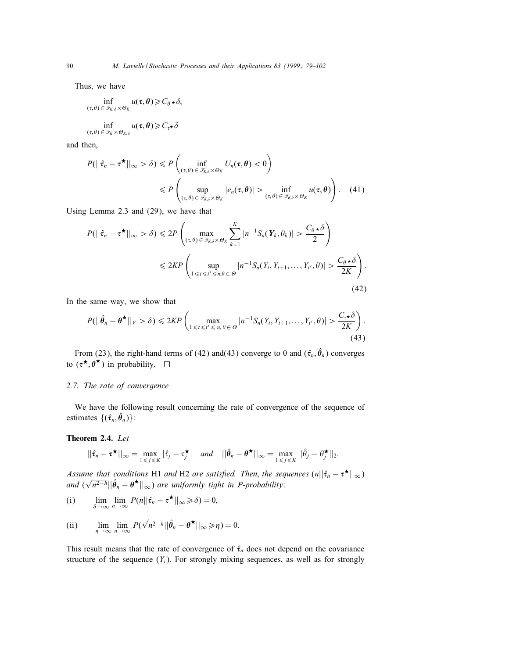Thus, we have

$$
\inf_{(\tau,\theta)\in\mathscr{T}_{K,\delta}\times\Theta_K}u(\tau,\theta)\geq C_{\theta}\star\delta,
$$

$$
\inf_{(\tau,\theta)\in\mathcal{I}_K\times\Theta_{K,\delta}}u(\tau,\theta)\geqslant C_{\tau}\star\delta
$$

and then,

$$
P(||\hat{\tau}_n - \tau^{\star}||_{\infty} > \delta) \leq P\left(\inf_{(\tau,\theta) \in \mathcal{T}_{K,\delta} \times \Theta_K} U_n(\tau,\theta) < 0\right)
$$
  

$$
\leq P\left(\sup_{(\tau,\theta) \in \mathcal{T}_{K,\delta} \times \Theta_K} |e_n(\tau,\theta)| > \inf_{(\tau,\theta) \in \mathcal{T}_{K,\delta} \times \Theta_K} u(\tau,\theta)\right).
$$
 (41)

Using Lemma 2.3 and (29), we have that

$$
P(||\hat{\tau}_n - \tau^{\star}||_{\infty} > \delta) \leq 2P \left( \max_{(\tau, \theta) \in \mathcal{T}_{K,\delta} \times \Theta_K} \sum_{k=1}^K |n^{-1} S_n(Y_k, \theta_k)| > \frac{C_{\theta} \star \delta}{2} \right)
$$
  

$$
\leq 2K P \left( \sup_{1 \leq t \leq t' \leq n, \theta \in \Theta} |n^{-1} S_n(Y_t, Y_{t+1}, \dots, Y_{t'}, \theta)| > \frac{C_{\theta} \star \delta}{2K} \right).
$$
(42)

In the same way, we show that

$$
P(||\hat{\theta}_n - \theta^{\star}||_V > \delta) \leq 2KP \left( \max_{1 \leq t \leq t' \leq n, \theta \in \Theta} |n^{-1}S_n(Y_t, Y_{t+1}, \dots, Y_{t'}, \theta)| > \frac{C_{\tau^{\star}}\delta}{2K} \right).
$$
\n(43)

From (23), the right-hand terms of (42) and (43) converge to 0 and  $(\hat{\tau}_n, \hat{\theta}_n)$  converges to  $(\tau^{\star}, \theta^{\star})$  in probability.  $\square$ 

## 2.7. The rate of convergence

We have the following result concerning the rate of convergence of the sequence of estimates  $\{(\hat{\tau}_n, \hat{\theta}_n)\}$ :

### Theorem 2.4. Let

$$
||\hat{\tau}_n - \tau^{\star}||_{\infty} = \max_{1 \leq j \leq K} |\hat{\tau}_j - \tau^{\star}_j| \quad \text{and} \quad ||\hat{\theta}_n - \theta^{\star}||_{\infty} = \max_{1 \leq j \leq K} ||\hat{\theta}_j - \theta^{\star}_j||_2.
$$

Assume that conditions H1 and H2 are satisfied. Then, the sequences  $(n||\hat{\tau}_n - \tau^{\star}||_{\infty})$ and  $(\sqrt{n^{2-h}}||\hat{\theta}_n - \theta^{\star}||_{\infty})$  are uniformly tight in P-probability:

(i) 
$$
\lim_{\delta \to \infty} \lim_{n \to \infty} P(n||\hat{\tau}_n - \tau^{\star}||_{\infty} \geq \delta) = 0,
$$

(ii) 
$$
\lim_{\eta \to \infty} \lim_{n \to \infty} P(\sqrt{n^{2-h}} || \hat{\theta}_n - \theta^{\star} ||_{\infty} \ge \eta) = 0.
$$

This result means that the rate of convergence of  $\hat{\tau}_n$  does not depend on the covariance structure of the sequence  $(Y_i)$ . For strongly mixing sequences, as well as for strongly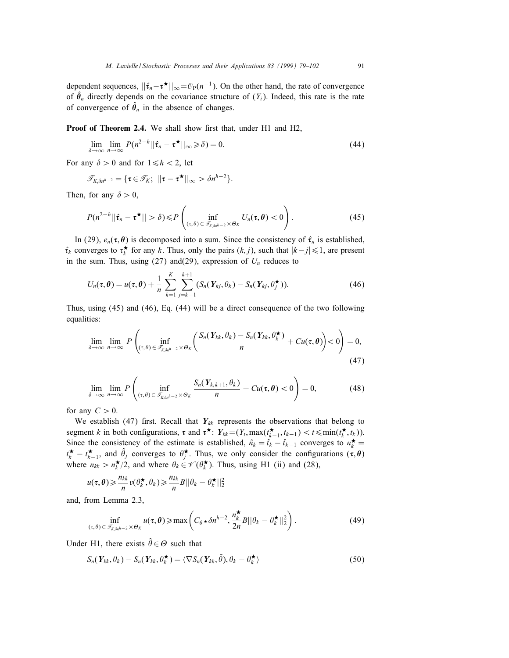dependent sequences,  $||\hat{\tau}_n - \tau^*||_{\infty} = \mathcal{O}_P(n^{-1})$ . On the other hand, the rate of convergence of  $\hat{\theta}_n$  directly depends on the covariance structure of  $(Y_i)$ . Indeed, this rate is the rate of convergence of  $\hat{\theta}_n$  in the absence of changes.

Proof of Theorem 2.4. We shall show first that, under H1 and H2,

$$
\lim_{\delta \to \infty} \lim_{n \to \infty} P(n^{2-h} || \hat{\tau}_n - \tau^{\star} ||_{\infty} \ge \delta) = 0.
$$
\n(44)

For any  $\delta > 0$  and for  $1 \le h < 2$ , let

$$
\mathscr{T}_{K,\delta n^{h-2}} = \{\boldsymbol{\tau} \in \mathscr{T}_K; \; ||\boldsymbol{\tau} - \boldsymbol{\tau}^{\star}||_{\infty} > \delta n^{h-2}\}.
$$

Then, for any  $\delta > 0$ ,

$$
P(n^{2-h}||\hat{\tau}_n - \tau^{\star}|| > \delta) \leq P\left(\inf_{(\tau,\theta)\in\mathcal{T}_{K,\delta n^{h-2}}\times\Theta_K} U_n(\tau,\theta) < 0\right).
$$
 (45)

In (29),  $e_n(\tau, \theta)$  is decomposed into a sum. Since the consistency of  $\hat{\tau}_n$  is established,  $\hat{\tau}_k$  converges to  $\tau_k^*$  for any k. Thus, only the pairs  $(k, j)$ , such that  $|k - j| \leq 1$ , are present in the sum. Thus, using (27) and(29), expression of  $U_n$  reduces to

$$
U_n(\tau,\theta) = u(\tau,\theta) + \frac{1}{n} \sum_{k=1}^K \sum_{j=k-1}^{k+1} (S_n(Y_{kj},\theta_k) - S_n(Y_{kj},\theta_j^{\star})).
$$
\n(46)

Thus, using (45) and (46), Eq. (44) will be a direct consequence of the two following equalities:

$$
\lim_{\delta \to \infty} \lim_{n \to \infty} P\left( \inf_{(\tau,\theta) \in \mathcal{T}_{K,\delta n^{h-2}} \times \Theta_K} \left( \frac{S_n(Y_{kk}, \theta_k) - S_n(Y_{kk}, \theta_k^{\star})}{n} + Cu(\tau, \theta) \right) < 0 \right) = 0,
$$
\n(47)

$$
\lim_{\delta \to \infty} \lim_{n \to \infty} P\left(\inf_{(\tau,\theta) \in \mathcal{T}_{K,\delta n^{h-2}} \times \Theta_K} \frac{S_n(Y_{k,k+1}, \theta_k)}{n} + Cu(\tau,\theta) < 0\right) = 0,\tag{48}
$$

for any  $C > 0$ .

We establish (47) first. Recall that  $Y_{kk}$  represents the observations that belong to segment k in both configurations,  $\tau$  and  $\tau^{\star}$ :  $Y_{kk} = (Y_t, \max(t_{k-1}^{\star}, t_{k-1}) < t \leq \min(t_k^{\star}, t_k)).$ Since the consistency of the estimate is established,  $\hat{n}_k = \hat{t}_k - \hat{t}_{k-1}$  converges to  $n_k^{\star} =$  $t_k^{\star} - t_{k-1}^{\star}$ , and  $\hat{\theta}_j$  converges to  $\theta_j^{\star}$ . Thus, we only consider the configurations  $(\tau, \theta)$ where  $n_{kk} > n_k^{\star}/2$ , and where  $\theta_k \in \mathcal{V}(\theta_k^{\star})$ . Thus, using H1 (ii) and (28),

$$
u(\tau,\theta) \geqslant \frac{n_{kk}}{n} v(\theta_k^{\star},\theta_k) \geqslant \frac{n_{kk}}{n} B ||\theta_k - \theta_k^{\star}||_2^2
$$

and, from Lemma 2.3,

$$
\inf_{(\tau,\theta)\in\mathscr{T}_{K,\delta n^{h-2}}\times\Theta_K}u(\tau,\theta)\geqslant\max\left(C_\theta\star\delta n^{h-2},\frac{n_k^\star}{2n}B||\theta_k-\theta_k^\star||_2^2\right).
$$
\n(49)

Under H1, there exists  $\tilde{\theta} \in \Theta$  such that

$$
S_n(Y_{kk}, \theta_k) - S_n(Y_{kk}, \theta_k^{\star}) = \langle \nabla S_n(Y_{kk}, \tilde{\theta}), \theta_k - \theta_k^{\star} \rangle
$$
\n(50)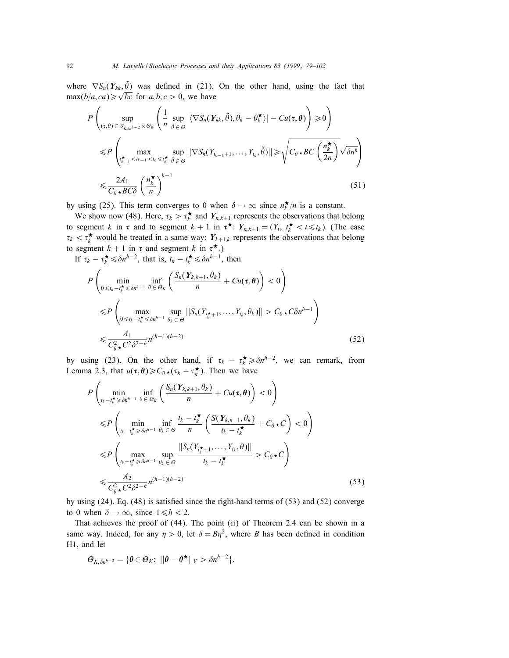where  $\nabla S_n(Y_{kk}, \tilde{\theta})$  was defined in (21). On the other hand, using the fact that where  $\sqrt{b_n}$   $\binom{\textbf{r}}{k}$ ,  $\frac{\textbf{r}}{k}$  was defined in (21).

$$
P\left(\sup_{(\tau,\theta)\in\mathcal{F}_{K,\delta n^{h-2}}\times\Theta_K}\left(\frac{1}{n}\sup_{\tilde{\theta}\in\Theta}|\langle\nabla S_n(\boldsymbol{Y}_{kk},\tilde{\theta}),\theta_k-\theta_k^{\star}\rangle|-Cu(\tau,\theta)\right)\geq0\right)
$$
  

$$
\leq P\left(\max_{\substack{\tau^{\star}_{k-1}  

$$
\leq\frac{2A_1}{C_{\theta}\star BC\delta}\left(\frac{n^{\star}_k}{n}\right)^{h-1}
$$
(51)
$$

by using (25). This term converges to 0 when  $\delta \to \infty$  since  $n_k^{\star}/n$  is a constant.

We show now (48). Here,  $\tau_k > \tau_k^*$  and  $Y_{k,k+1}$  represents the observations that belong to segment k in  $\tau$  and to segment  $k + 1$  in  $\tau^{\star}$ :  $Y_{k,k+1} = (Y_t, t_k^{\star} < t \le t_k)$ . (The case  $\tau_k < \tau_k^{\star}$  would be treated in a same way:  $Y_{k+1,k}$  represents the observations that belong to segment  $k + 1$  in  $\tau$  and segment k in  $\tau^*$ .)

If  $\tau_k - \tau_k^{\star} \leq \delta n^{h-2}$ , that is,  $t_k - t_k^{\star} \leq \delta n^{h-1}$ , then

$$
P\left(\min_{0\leq t_k-t_k^* \leq \delta n^{h-1}} \inf_{\theta \in \Theta_K} \left(\frac{S_n(Y_{k,k+1}, \theta_k)}{n} + Cu(\tau, \theta)\right) < 0\right)
$$
\n
$$
\leq P\left(\max_{0\leq t_k-t_k^* \leq \delta n^{h-1}} \sup_{\theta_k \in \Theta} \left| |S_n(Y_{t_k^*+1}, \dots, Y_{t_k}, \theta_k)| \right| > C_\theta \star C\delta n^{h-1}\right)
$$
\n
$$
\leq \frac{A_1}{C_\theta^2 \star C^2 \delta^{2-h}} n^{(h-1)(h-2)} \tag{52}
$$

by using (23). On the other hand, if  $\tau_k - \tau_k^{\star} \geq \delta n^{h-2}$ , we can remark, from Lemma 2.3, that  $u(\tau, \theta) \geq C_{\theta} \star (\tau_k - \tau_k^{\star})$ . Then we have

$$
P\left(\min_{t_k-t_k^{\star}\geq \delta n^{h-1}}\inf_{\theta\in\Theta_K}\left(\frac{S_n(Y_{k,k+1},\theta_k)}{n}+Cu(\tau,\theta)\right)<0\right)
$$
\n
$$
\leq P\left(\min_{t_k-t_k^{\star}\geq \delta n^{h-1}}\inf_{\theta_k\in\Theta}\frac{t_k-t_k^{\star}}{n}\left(\frac{S(Y_{k,k+1},\theta_k)}{t_k-t_k^{\star}}+C_{\theta\star}C\right)<0\right)
$$
\n
$$
\leq P\left(\max_{t_k-t_k^{\star}\geq \delta n^{h-1}}\sup_{\theta_k\in\Theta}\frac{||S_n(Y_{t_k^{\star}+1},\ldots,Y_{t_k},\theta)||}{t_k-t_k^{\star}}>C_{\theta\star}C\right)
$$
\n
$$
\leq \frac{A_2}{C_{\theta\star}^2C^2\delta^{2-h}}n^{(h-1)(h-2)}\tag{53}
$$

by using  $(24)$ . Eq.  $(48)$  is satisfied since the right-hand terms of  $(53)$  and  $(52)$  converge to 0 when  $\delta \rightarrow \infty$ , since  $1 \le h < 2$ .

That achieves the proof of (44). The point (ii) of Theorem 2.4 can be shown in a same way. Indeed, for any  $\eta > 0$ , let  $\delta = B\eta^2$ , where B has been defined in condition H1, and let

$$
\Theta_{K,\delta n^{h-2}} = \{ \boldsymbol{\theta} \in \Theta_K; \ ||\boldsymbol{\theta} - \boldsymbol{\theta}^{\star}||_V > \delta n^{h-2} \}.
$$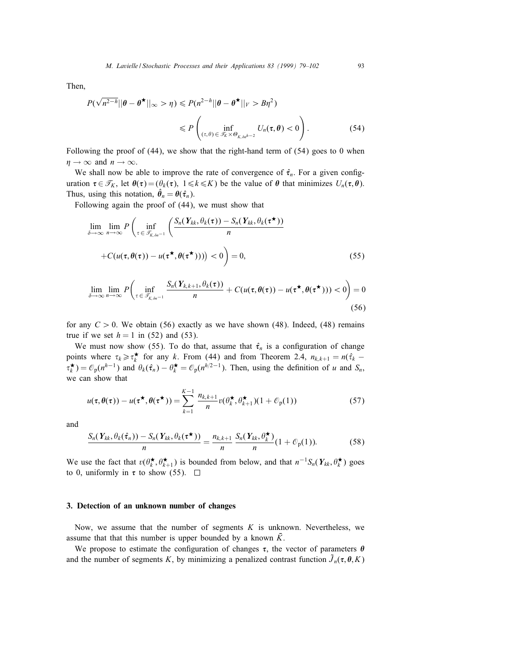Then,

$$
P(\sqrt{n^{2-h}}||\theta - \theta^{\star}||_{\infty} > \eta) \le P(n^{2-h}||\theta - \theta^{\star}||_{V} > B\eta^{2})
$$
  

$$
\le P\left(\inf_{(\tau,\theta)\in\mathcal{F}_{K}\times\Theta_{K,\delta\eta^{h-2}}} U_{\eta}(\tau,\theta) < 0\right).
$$
 (54)

Following the proof of (44), we show that the right-hand term of (54) goes to 0 when  $\eta \to \infty$  and  $n \to \infty$ .

We shall now be able to improve the rate of convergence of  $\hat{\tau}_n$ . For a given configuration  $\tau \in \mathcal{T}_K$ , let  $\theta(\tau)=(\theta_k(\tau), 1\leq k\leq K)$  be the value of  $\theta$  that minimizes  $U_n(\tau, \theta)$ . Thus, using this notation,  $\hat{\theta}_n = \theta(\hat{\tau}_n)$ .

Following again the proof of (44), we must show that

$$
\lim_{\delta \to \infty} \lim_{n \to \infty} P\left(\inf_{\tau \in \mathcal{F}_{K,\delta n^{-1}}} \left(\frac{S_n(\mathbf{Y}_{kk}, \theta_k(\tau)) - S_n(\mathbf{Y}_{kk}, \theta_k(\tau^{\star}))}{n}\right) + C(u(\tau, \theta(\tau)) - u(\tau^{\star}, \theta(\tau^{\star})))) < 0\right) = 0,
$$
\n(55)

$$
\lim_{\delta \to \infty} \lim_{n \to \infty} P\left(\inf_{\tau \in \mathcal{T}_{K,\delta n^{-1}}} \frac{S_n(\mathbf{Y}_{k,k+1}, \theta_k(\tau))}{n} + C(u(\tau, \theta(\tau)) - u(\tau^{\star}, \theta(\tau^{\star}))) < 0\right) = 0
$$
\n(56)

for any  $C > 0$ . We obtain (56) exactly as we have shown (48). Indeed, (48) remains true if we set  $h = 1$  in (52) and (53).

We must now show (55). To do that, assume that  $\hat{\tau}_n$  is a configuration of change points where  $\tau_k \ge \tau_k^*$  for any k. From (44) and from Theorem 2.4,  $n_{k,k+1} = n(\hat{\tau}_k \tau_k^{\star}$ ) =  $\mathcal{O}_p(n^{h-1})$  and  $\theta_k(\hat{\tau}_n) - \theta_k^{\star} = \mathcal{O}_p(n^{h/2-1})$ . Then, using the definition of u and  $S_n$ , we can show that

$$
u(\tau, \theta(\tau)) - u(\tau^{\star}, \theta(\tau^{\star})) = \sum_{k=1}^{K-1} \frac{n_{k,k+1}}{n} v(\theta_k^{\star}, \theta_{k+1}^{\star})(1 + \mathcal{O}_{p}(1))
$$
(57)

and

$$
\frac{S_n(\boldsymbol{Y}_{kk}, \theta_k(\hat{\boldsymbol{\tau}}_n)) - S_n(\boldsymbol{Y}_{kk}, \theta_k(\boldsymbol{\tau}^\star))}{n} = \frac{n_{k,k+1}}{n} \frac{S_n(\boldsymbol{Y}_{kk}, \theta_k^\star)}{n} (1 + \mathcal{O}_p(1)).
$$
 (58)

We use the fact that  $v(\theta_k^{\star}, \theta_{k+1}^{\star})$  is bounded from below, and that  $n^{-1}S_n(Y_{kk}, \theta_k^{\star})$  goes to 0, uniformly in  $\tau$  to show (55).  $\Box$ 

#### 3. Detection of an unknown number of changes

Now, we assume that the number of segments  $K$  is unknown. Nevertheless, we assume that that this number is upper bounded by a known  $K$ .

We propose to estimate the configuration of changes  $\tau$ , the vector of parameters  $\theta$ and the number of segments K, by minimizing a penalized contrast function  $\tilde{J}_n(\tau, \theta, K)$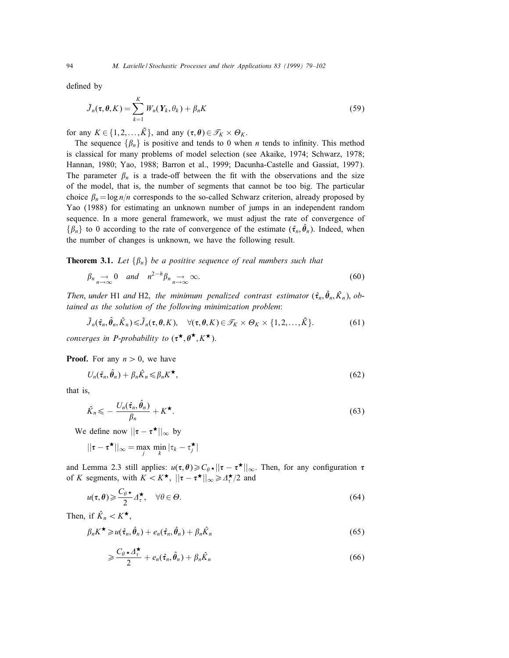defined by

$$
\tilde{J}_n(\tau, \theta, K) = \sum_{k=1}^K W_n(Y_k, \theta_k) + \beta_n K \tag{59}
$$

for any  $K \in \{1, 2, ..., \overline{K}\}\$ , and any  $(\tau, \theta) \in \mathcal{T}_K \times \Theta_K$ .

The sequence  $\{\beta_n\}$  is positive and tends to 0 when *n* tends to infinity. This method is classical for many problems of model selection (see Akaike, 1974; Schwarz, 1978; Hannan, 1980; Yao, 1988; Barron et al., 1999; Dacunha-Castelle and Gassiat, 1997). The parameter  $\beta_n$  is a trade-off between the fit with the observations and the size of the model, that is, the number of segments that cannot be too big. The particular choice  $\beta_n = \log n/n$  corresponds to the so-called Schwarz criterion, already proposed by Yao (1988) for estimating an unknown number of jumps in an independent random sequence. In a more general framework, we must adjust the rate of convergence of  $\{\beta_n\}$  to 0 according to the rate of convergence of the estimate  $(\hat{\tau}_n, \hat{\theta}_n)$ . Indeed, when the number of changes is unknown, we have the following result.

**Theorem 3.1.** Let  $\{\beta_n\}$  be a positive sequence of real numbers such that

$$
\beta_n \underset{n \to \infty}{\to} 0 \quad \text{and} \quad n^{2-h} \beta_n \underset{n \to \infty}{\to} \infty. \tag{60}
$$

Then, under H1 and H2, the minimum penalized contrast estimator  $(\hat{\tau}_n, \hat{\theta}_n, \hat{K}_n)$ , obtained as the solution of the following minimization problem:

$$
\tilde{J}_n(\hat{\tau}_n, \hat{\theta}_n, \hat{K}_n) \le \tilde{J}_n(\tau, \theta, K), \quad \forall (\tau, \theta, K) \in \mathcal{T}_K \times \Theta_K \times \{1, 2, \dots, \bar{K}\}.
$$
 (61)

converges in P-probability to  $(\tau^{\star}, \theta^{\star}, K^{\star})$ .

**Proof.** For any  $n > 0$ , we have

$$
U_n(\hat{\tau}_n, \hat{\theta}_n) + \beta_n \hat{K}_n \leq \beta_n K^{\star}, \qquad (62)
$$

that is,

$$
\hat{K}_n \leqslant -\frac{U_n(\hat{\tau}_n, \hat{\theta}_n)}{\beta_n} + K^{\star}.
$$
\n(63)

We define now  $||\tau - \tau^{\star}||_{\infty}$  by

$$
||\boldsymbol{\tau}-\boldsymbol{\tau^\star}||_{\infty}=\max_j\min_k|\tau_k-\tau_j^\star|
$$

and Lemma 2.3 still applies:  $u(\tau, \theta) \ge C_\theta \star ||\tau - \tau^{\star}||_{\infty}$ . Then, for any configuration  $\tau$ of K segments, with  $K < K^{\star}$ ,  $||\tau - \tau^{\star}||_{\infty} \ge \frac{A^{\star}}{\tau}/2$  and

$$
u(\tau,\theta) \geqslant \frac{C_{\theta} \star}{2} \Delta_{\tau}^{\star}, \quad \forall \theta \in \Theta.
$$
\n
$$
(64)
$$

Then, if  $\hat{K}_n < K^{\star}$ ,

$$
\beta_n K^{\star} \geq u(\hat{\tau}_n, \hat{\theta}_n) + e_n(\hat{\tau}_n, \hat{\theta}_n) + \beta_n \hat{K}_n
$$
\n(65)

$$
\geqslant \frac{C_{\theta}\star \Delta_{\tau}^{\star}}{2} + e_n(\hat{\tau}_n, \hat{\theta}_n) + \beta_n \hat{K}_n \tag{66}
$$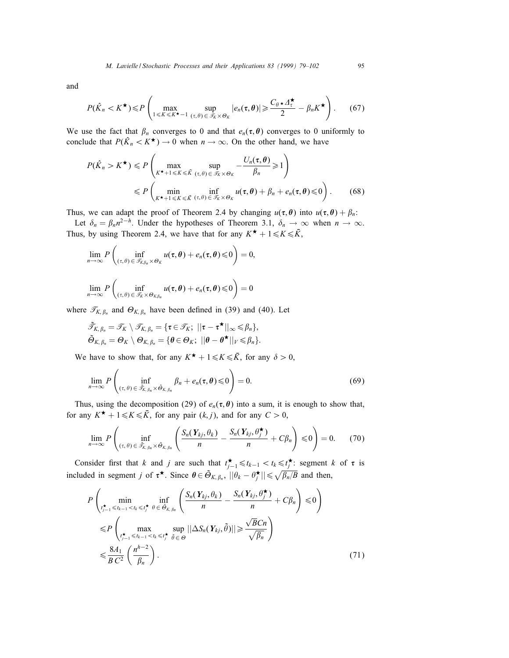and

$$
P(\hat{K}_n < K^{\star}) \leq P\left(\max_{1 \leq K \leq K^{\star}-1} \sup_{(\tau,\theta) \in \mathcal{I}_K \times \Theta_K} |e_n(\tau,\theta)| \geq \frac{C_{\theta} \star \Delta_{\tau}^{\star}}{2} - \beta_n K^{\star}\right). \tag{67}
$$

We use the fact that  $\beta_n$  converges to 0 and that  $e_n(\tau, \theta)$  converges to 0 uniformly to conclude that  $P(\hat{K}_n < K^{\star}) \to 0$  when  $n \to \infty$ . On the other hand, we have

$$
P(\hat{K}_n > K^{\star}) \leq P\left(\max_{K^{\star}+1 \leq K \leq \bar{K}} \sup_{(\tau,\theta) \in \bar{\mathcal{I}}_K \times \Theta_K} -\frac{U_n(\tau,\theta)}{\beta_n} \geq 1\right)
$$
  
 
$$
\leq P\left(\min_{K^{\star}+1 \leq K \leq \bar{K}} \inf_{(\tau,\theta) \in \bar{\mathcal{I}}_K \times \Theta_K} u(\tau,\theta) + \beta_n + e_n(\tau,\theta) \leq 0\right).
$$
 (68)

Thus, we can adapt the proof of Theorem 2.4 by changing  $u(\tau, \theta)$  into  $u(\tau, \theta) + \beta_n$ . Let  $\delta_n = \beta_n n^{2-h}$ . Under the hypotheses of Theorem 3.1,  $\delta_n \to \infty$  when  $n \to \infty$ .

Thus, by using Theorem 2.4, we have that for any  $K^{\star} + 1 \leq K \leq \bar{K}$ ,

$$
\lim_{n\to\infty}P\left(\inf_{(\tau,\theta)\in\mathscr{T}_{K,\beta_n}\times\Theta_K}u(\tau,\theta)+e_n(\tau,\theta)\leqslant 0\right)=0,
$$

$$
\lim_{n\to\infty} P\left(\inf_{(\tau,\theta)\in\mathscr{T}_{\mathcal{K}}\times\Theta_{K,\beta_n}}u(\tau,\theta)+e_n(\tau,\theta)\leqslant 0\right)=0
$$

where  $\mathcal{T}_{K, \beta_n}$  and  $\Theta_{K, \beta_n}$  have been defined in (39) and (40). Let

$$
\tilde{\mathscr{T}}_{K,\,\beta_n} = \mathscr{T}_K \setminus \mathscr{T}_{K,\,\beta_n} = \{ \tau \in \mathscr{T}_K; \ ||\tau - \tau^{\bigstar}||_{\infty} \leq \beta_n \},
$$
  

$$
\tilde{\Theta}_{K,\,\beta_n} = \Theta_K \setminus \Theta_{K,\,\beta_n} = \{ \theta \in \Theta_K; \ ||\theta - \theta^{\bigstar}||_V \leq \beta_n \}.
$$

We have to show that, for any  $K^{\star} + 1 \leq K \leq \overline{K}$ , for any  $\delta > 0$ ,

$$
\lim_{n\to\infty} P\left(\inf_{(\tau,\theta)\in\tilde{\mathscr{T}}_{K,\beta_n}\times\tilde{\Theta}_{K,\beta_n}}\beta_n+e_n(\tau,\theta)\leqslant 0\right)=0.
$$
\n(69)

Thus, using the decomposition (29) of  $e_n(\tau, \theta)$  into a sum, it is enough to show that, for any  $K^{\star}$  +  $1 \le K \le \overline{K}$ , for any pair  $(k, j)$ , and for any  $C > 0$ ,

$$
\lim_{n\to\infty} P\left(\inf_{(\tau,\theta)\in\tilde{\mathscr{T}}_{K,\beta_n}\times\tilde{\Theta}_{K,\beta_n}}\left(\frac{S_n(\mathbf{Y}_{kj},\theta_k)}{n}-\frac{S_n(\mathbf{Y}_{kj},\theta_j^{\star})}{n}+C\beta_n\right)\leq 0\right)=0.\hspace{1cm}(70)
$$

Consider first that k and j are such that  $t_{j-1}^{\star} \leq t_{k-1} < t_k \leq t_j^{\star}$ : segment k of  $\tau$  is included in segment j of  $\tau^*$ . Since  $\theta \in \tilde{\Theta}_{K,\beta_n}$ ,  $||\theta_k - \theta_j^*|| \le \sqrt{\beta_n/B}$  and then,

$$
P\left(\min_{\substack{t_{j-1}^* \le t_{k-1} < t_k \le t_j^*}} \inf_{\theta \in \tilde{\Theta}_{K,\beta_n}} \left( \frac{S_n(Y_{kj}, \theta_k)}{n} - \frac{S_n(Y_{kj}, \theta_j^*)}{n} + C\beta_n \right) \le 0 \right)
$$
  
\n
$$
\le P\left(\max_{\substack{t_{j-1}^* \le t_{k-1} < t_k \le t_j^* \\ B C^2} } \sup_{\theta \in \Theta} ||\Delta S_n(Y_{kj}, \tilde{\theta})|| \ge \frac{\sqrt{B}Cn}{\sqrt{\beta_n}} \right)
$$
  
\n
$$
\le \frac{8A_1}{B C^2} \left( \frac{n^{h-2}}{\beta_n} \right).
$$
\n(71)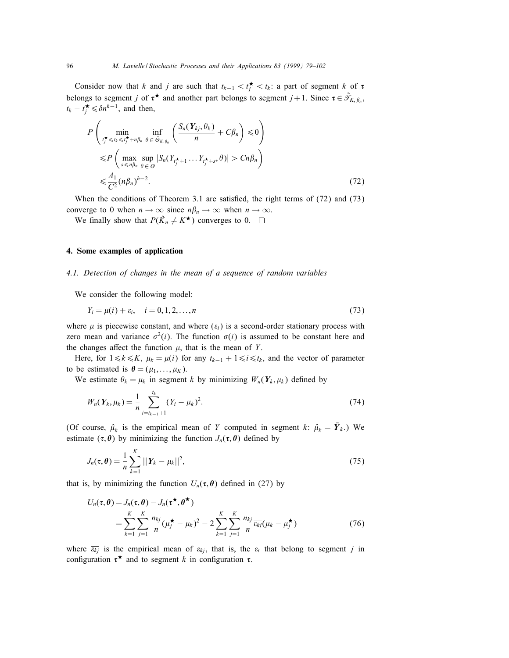Consider now that k and j are such that  $t_{k-1} < t_j^{\star} < t_k$ : a part of segment k of  $\tau$ belongs to segment j of  $\tau^*$  and another part belongs to segment  $j + 1$ . Since  $\tau \in \tilde{\mathcal{T}}_{K, \beta_n}$ ,  $t_k - t_j^{\star} \leq \delta n^{h-1}$ , and then,

$$
P\left(\min_{\substack{t_j^{\star} \le t_k \le t_j^{\star} + n\beta_n \theta \in \tilde{\Theta}_{K,\beta_n}}} \left( \frac{S_n(Y_{kj}, \theta_k)}{n} + C\beta_n \right) \le 0 \right)
$$
  

$$
\le P\left(\max_{s \le n\beta_n} \sup_{\theta \in \Theta} |S_n(Y_{t_j^{\star}+1} \dots Y_{t_j^{\star}+s}, \theta)| > Cn\beta_n \right)
$$
  

$$
\le \frac{A_1}{C^2} (n\beta_n)^{h-2}.
$$
 (72)

When the conditions of Theorem 3.1 are satisfied, the right terms of (72) and (73) converge to 0 when  $n \to \infty$  since  $n\beta_n \to \infty$  when  $n \to \infty$ .

We finally show that  $P(\hat{K}_n \neq K^{\star})$  converges to 0.  $\Box$ 

## 4. Some examples of application

## 4.1. Detection of changes in the mean of a sequence of random variables

We consider the following model:

$$
Y_i = \mu(i) + \varepsilon_i, \quad i = 0, 1, 2, \dots, n
$$
\n(73)

where  $\mu$  is piecewise constant, and where  $(\varepsilon_i)$  is a second-order stationary process with zero mean and variance  $\sigma^2(i)$ . The function  $\sigma(i)$  is assumed to be constant here and the changes affect the function  $\mu$ , that is the mean of Y.

Here, for  $1 \le k \le K$ ,  $\mu_k = \mu(i)$  for any  $t_{k-1} + 1 \le i \le t_k$ , and the vector of parameter to be estimated is  $\theta = (\mu_1, \dots, \mu_K)$ .

We estimate  $\theta_k = \mu_k$  in segment k by minimizing  $W_n(Y_k, \mu_k)$  defined by

$$
W_n(Y_k, \mu_k) = \frac{1}{n} \sum_{i=t_{k-1}+1}^{t_k} (Y_i - \mu_k)^2.
$$
 (74)

(Of course,  $\hat{\mu}_k$  is the empirical mean of Y computed in segment k:  $\hat{\mu}_k = \overline{Y}_k$ .) We estimate  $(\tau, \theta)$  by minimizing the function  $J_n(\tau, \theta)$  defined by

$$
J_n(\tau,\theta) = \frac{1}{n} \sum_{k=1}^K ||Y_k - \mu_k||^2,
$$
\n(75)

that is, by minimizing the function  $U_n(\tau, \theta)$  defined in (27) by

$$
U_n(\tau, \theta) = J_n(\tau, \theta) - J_n(\tau^{\star}, \theta^{\star})
$$
  
= 
$$
\sum_{k=1}^K \sum_{j=1}^K \frac{n_{kj}}{n} (\mu_j^{\star} - \mu_k)^2 - 2 \sum_{k=1}^K \sum_{j=1}^K \frac{n_{kj}}{n} \overline{\varepsilon_{kj}} (\mu_k - \mu_j^{\star})
$$
 (76)

where  $\overline{\epsilon_{ki}}$  is the empirical mean of  $\epsilon_{ki}$ , that is, the  $\epsilon_t$  that belong to segment j in configuration  $\tau^*$  and to segment k in configuration  $\tau$ .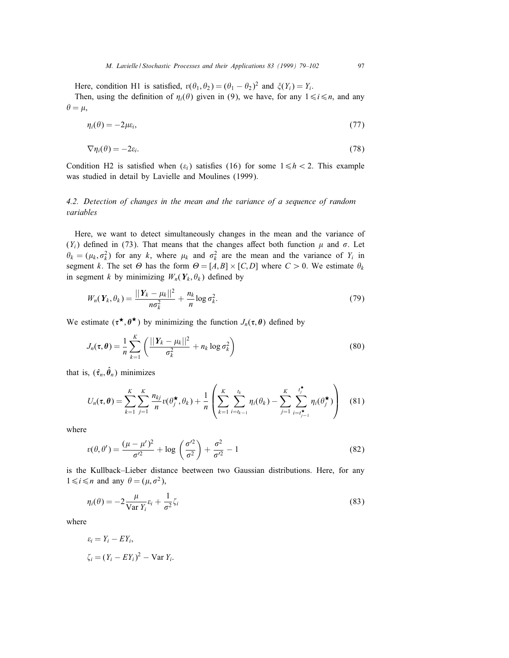Here, condition H1 is satisfied,  $v(\theta_1, \theta_2) = (\theta_1 - \theta_2)^2$  and  $\zeta(Y_i) = Y_i$ .

Then, using the definition of  $\eta_i(\theta)$  given in (9), we have, for any  $1 \le i \le n$ , and any  $\theta = \mu$ ,

$$
\eta_i(\theta) = -2\mu \varepsilon_i,\tag{77}
$$

$$
\nabla \eta_i(\theta) = -2\varepsilon_i. \tag{78}
$$

Condition H2 is satisfied when  $(\varepsilon_i)$  satisfies (16) for some  $1 \leq h < 2$ . This example was studied in detail by Lavielle and Moulines (1999).

## 4.2. Detection of changes in the mean and the variance of a sequence of random variables

Here, we want to detect simultaneously changes in the mean and the variance of  $(Y_i)$  defined in (73). That means that the changes affect both function  $\mu$  and  $\sigma$ . Let  $\theta_k = (\mu_k, \sigma_k^2)$  for any k, where  $\mu_k$  and  $\sigma_k^2$  are the mean and the variance of  $Y_i$  in segment k. The set  $\Theta$  has the form  $\Theta = [A, B] \times [C, D]$  where  $C > 0$ . We estimate  $\theta_k$ in segment k by minimizing  $W_n(Y_k, \theta_k)$  defined by

$$
W_n(\boldsymbol{Y}_k, \theta_k) = \frac{||\boldsymbol{Y}_k - \mu_k||^2}{n\sigma_k^2} + \frac{n_k}{n} \log \sigma_k^2.
$$
\n
$$
(79)
$$

We estimate  $(\tau^*, \theta^*)$  by minimizing the function  $J_n(\tau, \theta)$  defined by

$$
J_n(\tau,\theta) = \frac{1}{n} \sum_{k=1}^K \left( \frac{||Y_k - \mu_k||^2}{\sigma_k^2} + n_k \log \sigma_k^2 \right) \tag{80}
$$

that is,  $(\hat{\tau}_n, \hat{\theta}_n)$  minimizes

$$
U_n(\tau, \theta) = \sum_{k=1}^K \sum_{j=1}^K \frac{n_{kj}}{n} v(\theta_j^{\star}, \theta_k) + \frac{1}{n} \left( \sum_{k=1}^K \sum_{i=t_{k-1}}^{t_k} \eta_i(\theta_k) - \sum_{j=1}^K \sum_{i=t_{j-1}^{\star}}^{t_j^{\star}} \eta_i(\theta_j^{\star}) \right)
$$
(81)

where

$$
v(\theta, \theta') = \frac{(\mu - \mu')^2}{\sigma'^2} + \log \left( \frac{\sigma'^2}{\sigma^2} \right) + \frac{\sigma^2}{\sigma'^2} - 1 \tag{82}
$$

is the Kullback–Lieber distance beetween two Gaussian distributions. Here, for any  $1 \le i \le n$  and any  $\theta = (\mu, \sigma^2)$ ,

$$
\eta_i(\theta) = -2\frac{\mu}{\text{Var }Y_i}\varepsilon_i + \frac{1}{\sigma^2}\zeta_i
$$
\n(83)

where

$$
\varepsilon_i = Y_i - EY_i,
$$
  
\n
$$
\zeta_i = (Y_i - EY_i)^2 - \text{Var } Y_i.
$$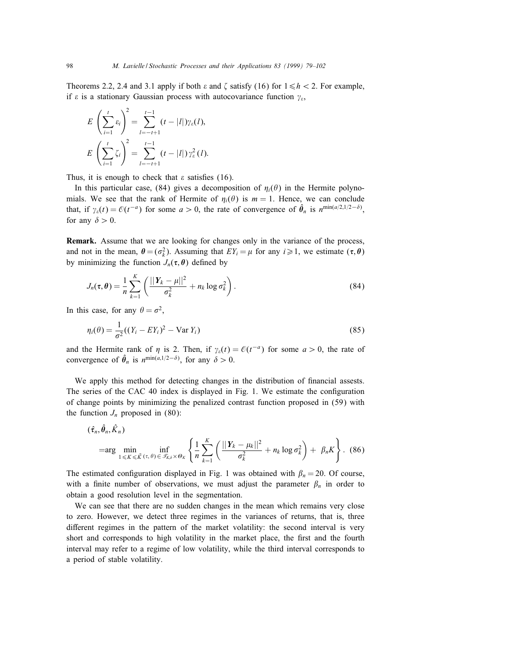Theorems 2.2, 2.4 and 3.1 apply if both  $\varepsilon$  and  $\zeta$  satisfy (16) for  $1 \le h < 2$ . For example, if  $\varepsilon$  is a stationary Gaussian process with autocovariance function  $\gamma_{\varepsilon}$ ,

$$
E\left(\sum_{i=1}^{t} \varepsilon_{i}\right)^{2} = \sum_{l=-t+1}^{t-1} (t - |l|) \gamma_{\varepsilon}(l),
$$
  

$$
E\left(\sum_{i=1}^{t} \zeta_{i}\right)^{2} = \sum_{l=-t+1}^{t-1} (t - |l|) \gamma_{\varepsilon}^{2}(l).
$$

Thus, it is enough to check that  $\varepsilon$  satisfies (16).

In this particular case, (84) gives a decomposition of  $\eta_i(\theta)$  in the Hermite polynomials. We see that the rank of Hermite of  $\eta_i(\theta)$  is  $m = 1$ . Hence, we can conclude that, if  $\gamma_{\varepsilon}(t) = \mathcal{O}(t^{-a})$  for some  $a > 0$ , the rate of convergence of  $\hat{\theta}_n$  is  $n^{\min(a/2,1/2-\delta)}$ , for any  $\delta > 0$ .

Remark. Assume that we are looking for changes only in the variance of the process, and not in the mean,  $\theta = (\sigma_k^2)$ . Assuming that  $EY_i = \mu$  for any  $i \ge 1$ , we estimate  $(\tau, \theta)$ by minimizing the function  $J_n(\tau, \theta)$  defined by

$$
J_n(\tau,\theta) = \frac{1}{n}\sum_{k=1}^K \left(\frac{||\boldsymbol{Y}_k - \mu||^2}{\sigma_k^2} + n_k \log \sigma_k^2\right).
$$
 (84)

In this case, for any  $\theta = \sigma^2$ ,

$$
\eta_i(\theta) = \frac{1}{\sigma^2} ((Y_i - EY_i)^2 - \text{Var } Y_i)
$$
\n(85)

and the Hermite rank of  $\eta$  is 2. Then, if  $\gamma_{\varepsilon}(t) = \mathcal{O}(t^{-a})$  for some  $a > 0$ , the rate of convergence of  $\hat{\theta}_n$  is  $n^{\min(a,1/2-\delta)}$ , for any  $\delta > 0$ .

We apply this method for detecting changes in the distribution of nancial assests. The series of the CAC 40 index is displayed in Fig. 1. We estimate the configuration of change points by minimizing the penalized contrast function proposed in (59) with the function  $J_n$  proposed in (80):

$$
(\hat{\tau}_n, \hat{\theta}_n, \hat{K}_n)
$$
\n
$$
= \arg \min_{1 \leq K \leq \bar{K}(\tau, \theta) \in \mathcal{F}_{\kappa, \delta} \times \Theta_K} \left\{ \frac{1}{n} \sum_{k=1}^K \left( \frac{||Y_k - \mu_k||^2}{\sigma_k^2} + n_k \log \sigma_k^2 \right) + \beta_n K \right\}.
$$
\n(86)

The estimated configuration displayed in Fig. 1 was obtained with  $\beta_n = 20$ . Of course, with a finite number of observations, we must adjust the parameter  $\beta_n$  in order to obtain a good resolution level in the segmentation.

We can see that there are no sudden changes in the mean which remains very close to zero. However, we detect three regimes in the variances of returns, that is, three different regimes in the pattern of the market volatility: the second interval is very short and corresponds to high volatility in the market place, the first and the fourth interval may refer to a regime of low volatility, while the third interval corresponds to a period of stable volatility.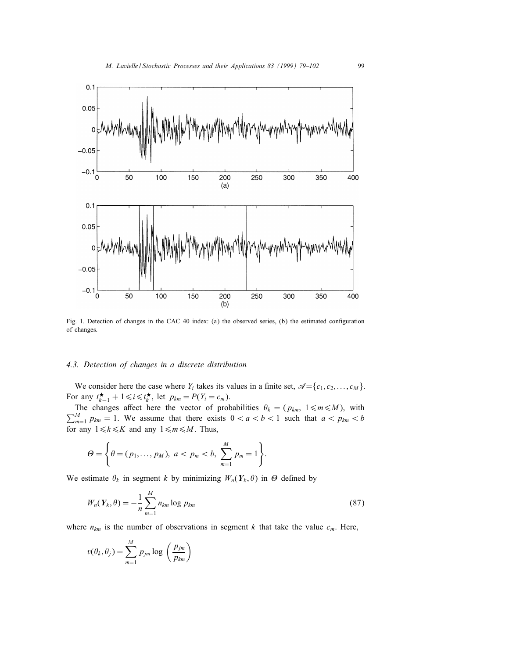

Fig. 1. Detection of changes in the CAC 40 index: (a) the observed series, (b) the estimated conguration of changes.

## 4.3. Detection of changes in a discrete distribution

We consider here the case where  $Y_i$  takes its values in a finite set,  $\mathcal{A} = \{c_1, c_2, \dots, c_M\}$ . For any  $t_{k-1}^{\star} + 1 \leq i \leq t_k^{\star}$ , let  $p_{km} = P(Y_i = c_m)$ .

The changes affect here the vector of probabilities  $\theta_k = (p_{km}, 1 \le m \le M)$ , with  $\sum_{m=1}^{M} p_{km} = 1$ . We assume that there exists  $0 < a < b < 1$  such that  $a < p_{km} < b$ for any  $1 \le k \le K$  and any  $1 \le m \le M$ . Thus,

$$
\Theta = \left\{\theta = (p_1, ..., p_M), \ a < p_m < b, \ \sum_{m=1}^M p_m = 1\right\}.
$$

We estimate  $\theta_k$  in segment k by minimizing  $W_n(Y_k, \theta)$  in  $\Theta$  defined by

$$
W_n(Y_k, \theta) = -\frac{1}{n} \sum_{m=1}^{M} n_{km} \log p_{km}
$$
 (87)

where  $n_{km}$  is the number of observations in segment k that take the value  $c_m$ . Here,

$$
v(\theta_k, \theta_j) = \sum_{m=1}^{M} p_{jm} \log \left(\frac{p_{jm}}{p_{km}}\right)
$$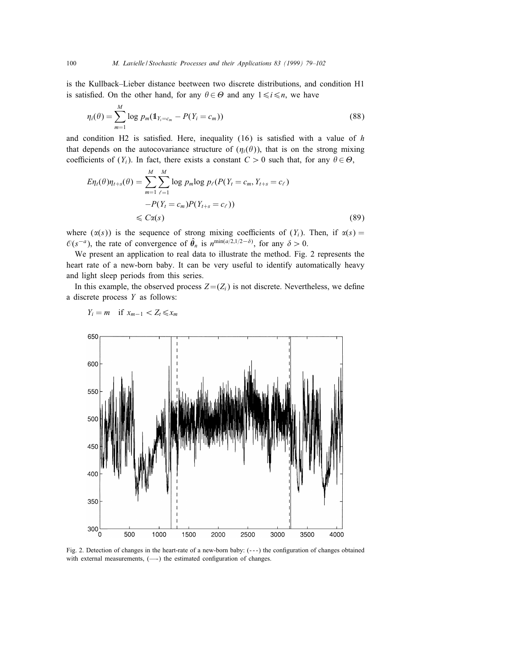is the Kullback–Lieber distance beetween two discrete distributions, and condition H1 is satisfied. On the other hand, for any  $\theta \in \Theta$  and any  $1 \le i \le n$ , we have

$$
\eta_i(\theta) = \sum_{m=1}^{M} \log p_m(\mathbb{1}_{Y_i = c_m} - P(Y_i = c_m))
$$
\n(88)

and condition H2 is satisfied. Here, inequality  $(16)$  is satisfied with a value of h that depends on the autocovariance structure of  $(\eta_i(\theta))$ , that is on the strong mixing coefficients of  $(Y_i)$ . In fact, there exists a constant  $C > 0$  such that, for any  $\theta \in \Theta$ ,

$$
E\eta_t(\theta)\eta_{t+s}(\theta) = \sum_{m=1}^M \sum_{\ell=1}^M \log p_m \log p_\ell(P(Y_t = c_m, Y_{t+s} = c_\ell))
$$
  
-P(Y\_t = c\_m)P(Y\_{t+s} = c\_\ell))  

$$
\leq C\alpha(s)
$$
 (89)

where  $(x(s))$  is the sequence of strong mixing coefficients of  $(Y_i)$ . Then, if  $x(s)$  =  $\mathcal{O}(s^{-a})$ , the rate of convergence of  $\hat{\theta}_n$  is  $n^{\min(a/2,1/2-\delta)}$ , for any  $\delta > 0$ .

We present an application to real data to illustrate the method. Fig. 2 represents the heart rate of a new-born baby. It can be very useful to identify automatically heavy and light sleep periods from this series.

In this example, the observed process  $Z = (Z_i)$  is not discrete. Nevertheless, we define a discrete process Y as follows:



$$
Y_i = m \quad \text{if } x_{m-1} < Z_t \leq x_m
$$

Fig. 2. Detection of changes in the heart-rate of a new-born baby:  $(-)$  the configuration of changes obtained with external measurements, (-) the estimated configuration of changes.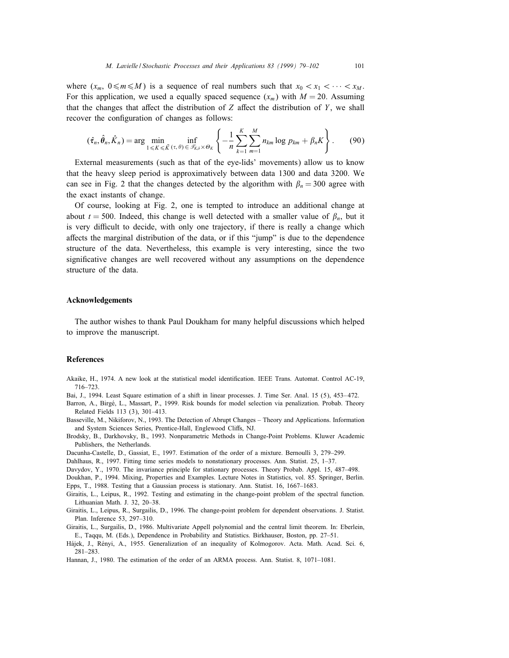where  $(x_m, 0 \le m \le M)$  is a sequence of real numbers such that  $x_0 < x_1 < \cdots < x_M$ . For this application, we used a equally spaced sequence  $(x_m)$  with  $M = 20$ . Assuming that the changes that affect the distribution of  $Z$  affect the distribution of  $Y$ , we shall recover the configuration of changes as follows:

$$
(\hat{\tau}_n, \hat{\theta}_n, \hat{K}_n) = \arg \min_{1 \leq K \leq \bar{K}} \inf_{(\tau, \theta) \in \mathcal{T}_{K,\delta} \times \Theta_K} \left\{ -\frac{1}{n} \sum_{k=1}^K \sum_{m=1}^M n_{km} \log p_{km} + \beta_n K \right\}.
$$
 (90)

External measurements (such as that of the eye-lids' movements) allow us to know that the heavy sleep period is approximatively between data 1300 and data 3200. We can see in Fig. 2 that the changes detected by the algorithm with  $\beta_n = 300$  agree with the exact instants of change.

Of course, looking at Fig. 2, one is tempted to introduce an additional change at about  $t = 500$ . Indeed, this change is well detected with a smaller value of  $\beta_n$ , but it is very difficult to decide, with only one trajectory, if there is really a change which affects the marginal distribution of the data, or if this "jump" is due to the dependence structure of the data. Nevertheless, this example is very interesting, since the two signicative changes are well recovered without any assumptions on the dependence structure of the data.

#### Acknowledgements

The author wishes to thank Paul Doukham for many helpful discussions which helped to improve the manuscript.

## **References**

- Akaike, H., 1974. A new look at the statistical model identification. IEEE Trans. Automat. Control AC-19, 716–723.
- Bai, J., 1994. Least Square estimation of a shift in linear processes. J. Time Ser. Anal. 15 (5), 453-472.
- Barron, A., Birge, L., Massart, P., 1999. Risk bounds for model selection via penalization. Probab. Theory Related Fields 113 (3), 301–413.
- Basseville, M., Nikiforov, N., 1993. The Detection of Abrupt Changes Theory and Applications. Information and System Sciences Series, Prentice-Hall, Englewood Cliffs, NJ.
- Brodsky, B., Darkhovsky, B., 1993. Nonparametric Methods in Change-Point Problems. Kluwer Academic Publishers, the Netherlands.
- Dacunha-Castelle, D., Gassiat, E., 1997. Estimation of the order of a mixture. Bernoulli 3, 279–299.
- Dahlhaus, R., 1997. Fitting time series models to nonstationary processes. Ann. Statist. 25, 1–37.
- Davydov, Y., 1970. The invariance principle for stationary processes. Theory Probab. Appl. 15, 487–498.
- Doukhan, P., 1994. Mixing, Properties and Examples. Lecture Notes in Statistics, vol. 85. Springer, Berlin. Epps, T., 1988. Testing that a Gaussian process is stationary. Ann. Statist. 16, 1667–1683.
- Giraitis, L., Leipus, R., 1992. Testing and estimating in the change-point problem of the spectral function. Lithuanian Math. J. 32, 20–38.
- Giraitis, L., Leipus, R., Surgailis, D., 1996. The change-point problem for dependent observations. J. Statist. Plan. Inference 53, 297–310.
- Giraitis, L., Surgailis, D., 1986. Multivariate Appell polynomial and the central limit theorem. In: Eberlein, E., Taqqu, M. (Eds.), Dependence in Probability and Statistics. Birkhauser, Boston, pp. 27–51.
- Hajek, J., Renyi, A., 1955. Generalization of an inequality of Kolmogorov. Acta. Math. Acad. Sci. 6, 281–283.
- Hannan, J., 1980. The estimation of the order of an ARMA process. Ann. Statist. 8, 1071–1081.